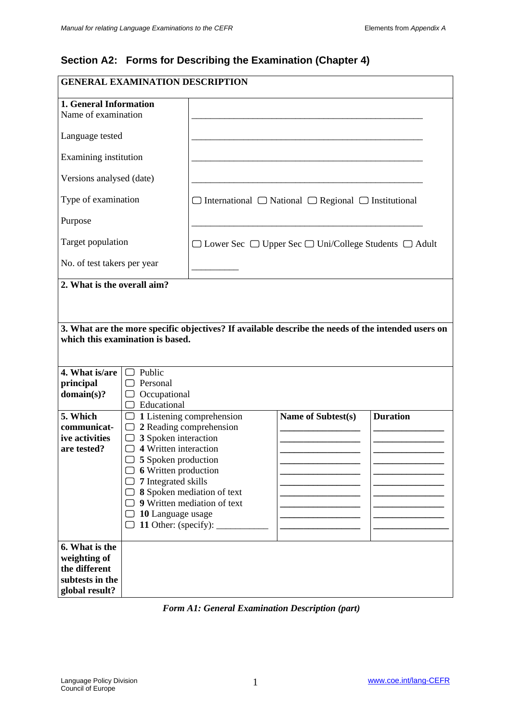# **Section A2: Forms for Describing the Examination (Chapter 4)**

| <b>GENERAL EXAMINATION DESCRIPTION</b>                                               |                                                                 |                           |                                                                                                    |                 |
|--------------------------------------------------------------------------------------|-----------------------------------------------------------------|---------------------------|----------------------------------------------------------------------------------------------------|-----------------|
| 1. General Information<br>Name of examination                                        |                                                                 |                           |                                                                                                    |                 |
| Language tested                                                                      |                                                                 |                           |                                                                                                    |                 |
| Examining institution                                                                |                                                                 |                           |                                                                                                    |                 |
| Versions analysed (date)                                                             |                                                                 |                           |                                                                                                    |                 |
| Type of examination                                                                  |                                                                 |                           | $\Box$ International $\Box$ National $\Box$ Regional $\Box$ Institutional                          |                 |
| Purpose                                                                              |                                                                 |                           |                                                                                                    |                 |
| Target population                                                                    |                                                                 |                           | $\Box$ Lower Sec $\Box$ Upper Sec $\Box$ Uni/College Students $\Box$ Adult                         |                 |
| No. of test takers per year                                                          |                                                                 |                           |                                                                                                    |                 |
| 2. What is the overall aim?                                                          |                                                                 |                           |                                                                                                    |                 |
|                                                                                      |                                                                 |                           |                                                                                                    |                 |
|                                                                                      | which this examination is based.                                |                           | 3. What are the more specific objectives? If available describe the needs of the intended users on |                 |
| 4. What is/are<br>principal<br>domain(s)?                                            | $\Box$ Public<br>$\Box$ Personal<br>Occupational<br>Educational |                           |                                                                                                    |                 |
| 5. Which                                                                             | ( )                                                             | 1 Listening comprehension | Name of Subtest(s)                                                                                 | <b>Duration</b> |
| communicat-<br>ive activities                                                        | □<br>$\Box$ 3 Spoken interaction                                | 2 Reading comprehension   |                                                                                                    |                 |
| are tested?                                                                          | $\Box$ 4 Written interaction                                    |                           |                                                                                                    |                 |
|                                                                                      | $\Box$ 5 Spoken production                                      |                           |                                                                                                    |                 |
|                                                                                      | <b>6</b> Written production                                     |                           |                                                                                                    |                 |
|                                                                                      | 7 Integrated skills<br>8 Spoken mediation of text               |                           |                                                                                                    |                 |
|                                                                                      | 9 Written mediation of text                                     |                           |                                                                                                    |                 |
|                                                                                      | 10 Language usage                                               |                           |                                                                                                    |                 |
| 11 Other: (specify):                                                                 |                                                                 |                           |                                                                                                    |                 |
| 6. What is the<br>weighting of<br>the different<br>subtests in the<br>global result? |                                                                 |                           |                                                                                                    |                 |

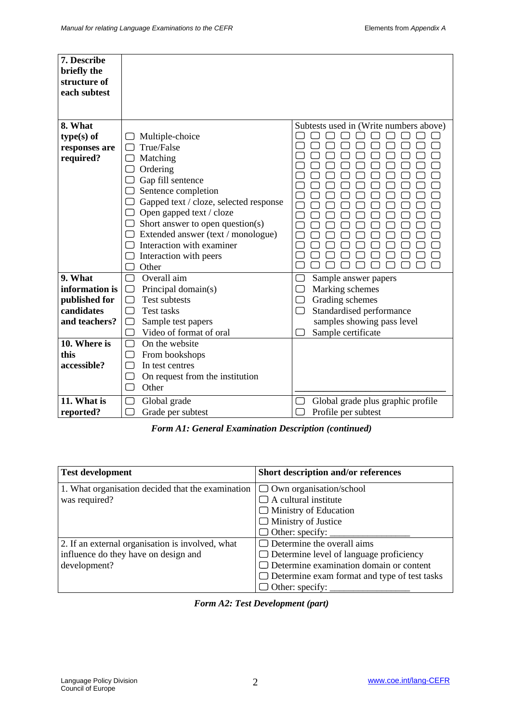| 7. Describe<br>briefly the<br>structure of<br>each subtest |                                        |                                        |
|------------------------------------------------------------|----------------------------------------|----------------------------------------|
| 8. What                                                    |                                        | Subtests used in (Write numbers above) |
| $type(s)$ of                                               | Multiple-choice                        |                                        |
| responses are                                              | True/False                             |                                        |
| required?                                                  | Matching                               |                                        |
|                                                            | Ordering                               |                                        |
|                                                            | Gap fill sentence                      |                                        |
|                                                            | Sentence completion                    |                                        |
|                                                            | Gapped text / cloze, selected response |                                        |
|                                                            | Open gapped text / cloze               |                                        |
|                                                            | Short answer to open question(s)       |                                        |
|                                                            | Extended answer (text / monologue)     |                                        |
|                                                            | Interaction with examiner              |                                        |
|                                                            | Interaction with peers<br>Other        |                                        |
| 9. What                                                    | Overall aim                            | Sample answer papers                   |
| information is                                             | Principal domain(s)<br>$\Box$          | Marking schemes                        |
| published for                                              | <b>Test subtests</b><br>$\Box$         | Grading schemes<br>$\Box$              |
| candidates                                                 | <b>Test tasks</b><br>┌                 | Standardised performance               |
| and teachers?                                              | Sample test papers                     | samples showing pass level             |
|                                                            | Video of format of oral                | Sample certificate                     |
| 10. Where is                                               | On the website<br>$\mathbb{R}$         |                                        |
| this                                                       | From bookshops                         |                                        |
| accessible?                                                | In test centres                        |                                        |
|                                                            | On request from the institution        |                                        |
|                                                            | Other                                  |                                        |
| 11. What is                                                | Global grade                           | Global grade plus graphic profile      |
| reported?                                                  | Grade per subtest                      | Profile per subtest                    |

*Form A1: General Examination Description (continued)*

| <b>Test development</b>                           | Short description and/or references                 |
|---------------------------------------------------|-----------------------------------------------------|
| 1. What organisation decided that the examination | $\Box$ Own organisation/school                      |
| was required?                                     | $\Box$ A cultural institute                         |
|                                                   | $\Box$ Ministry of Education                        |
|                                                   | $\Box$ Ministry of Justice                          |
|                                                   | $\Box$ Other: specify: $\Box$                       |
| 2. If an external organisation is involved, what  | Determine the overall aims                          |
| influence do they have on design and              | $\Box$ Determine level of language proficiency      |
| development?                                      | $\Box$ Determine examination domain or content      |
|                                                   | $\Box$ Determine exam format and type of test tasks |
|                                                   | $\Box$ Other: specify:                              |

|  | <b>Form A2: Test Development (part)</b> |  |
|--|-----------------------------------------|--|
|--|-----------------------------------------|--|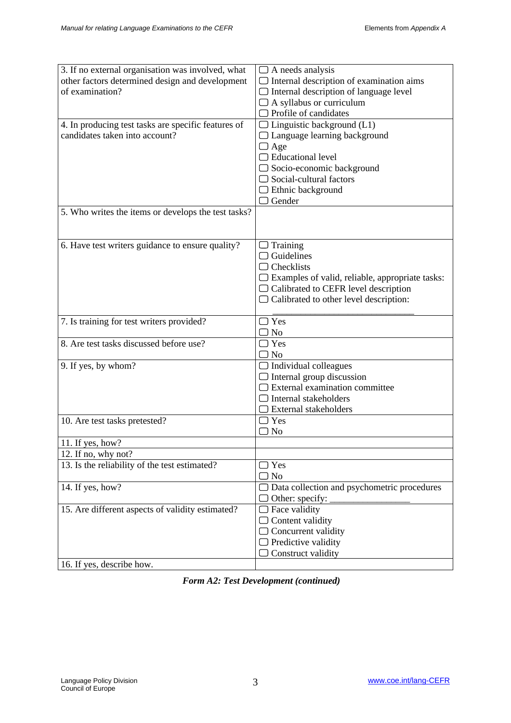| 3. If no external organisation was involved, what   | $\Box$ A needs analysis                                |
|-----------------------------------------------------|--------------------------------------------------------|
| other factors determined design and development     | $\Box$ Internal description of examination aims        |
| of examination?                                     | $\Box$ Internal description of language level          |
|                                                     | $\Box$ A syllabus or curriculum                        |
|                                                     | $\Box$ Profile of candidates                           |
|                                                     |                                                        |
| 4. In producing test tasks are specific features of | $\Box$ Linguistic background (L1)                      |
| candidates taken into account?                      | $\Box$ Language learning background                    |
|                                                     | $\Box$ Age                                             |
|                                                     | $\Box$ Educational level                               |
|                                                     | $\Box$ Socio-economic background                       |
|                                                     | $\Box$ Social-cultural factors                         |
|                                                     | $\Box$ Ethnic background                               |
|                                                     | $\Box$ Gender                                          |
| 5. Who writes the items or develops the test tasks? |                                                        |
|                                                     |                                                        |
|                                                     |                                                        |
| 6. Have test writers guidance to ensure quality?    | $\Box$ Training                                        |
|                                                     | $\Box$ Guidelines                                      |
|                                                     | $\Box$ Checklists                                      |
|                                                     | $\Box$ Examples of valid, reliable, appropriate tasks: |
|                                                     | $\Box$ Calibrated to CEFR level description            |
|                                                     | $\Box$ Calibrated to other level description:          |
|                                                     |                                                        |
|                                                     |                                                        |
|                                                     | $\Box$ Yes                                             |
| 7. Is training for test writers provided?           | $\Box$ No                                              |
| 8. Are test tasks discussed before use?             | $\Box$ Yes                                             |
|                                                     | $\Box$ No                                              |
|                                                     |                                                        |
| 9. If yes, by whom?                                 | $\Box$ Individual colleagues                           |
|                                                     | $\Box$ Internal group discussion                       |
|                                                     | $\Box$ External examination committee                  |
|                                                     | $\Box$ Internal stakeholders                           |
|                                                     | $\Box$ External stakeholders                           |
| 10. Are test tasks pretested?                       | $\Box$ Yes                                             |
|                                                     | $\Box$ No                                              |
| 11. If yes, how?                                    |                                                        |
| 12. If no, why not?                                 |                                                        |
| 13. Is the reliability of the test estimated?       | $\Box$ Yes                                             |
|                                                     | $\Box$ No                                              |
| 14. If yes, how?                                    | $\Box$ Data collection and psychometric procedures     |
|                                                     | $\Box$ Other: specify:                                 |
| 15. Are different aspects of validity estimated?    | $\Box$ Face validity                                   |
|                                                     | $\Box$ Content validity                                |
|                                                     | $\Box$ Concurrent validity                             |
|                                                     | $\Box$ Predictive validity                             |
| 16. If yes, describe how.                           | $\Box$ Construct validity                              |

*Form A2: Test Development (continued)*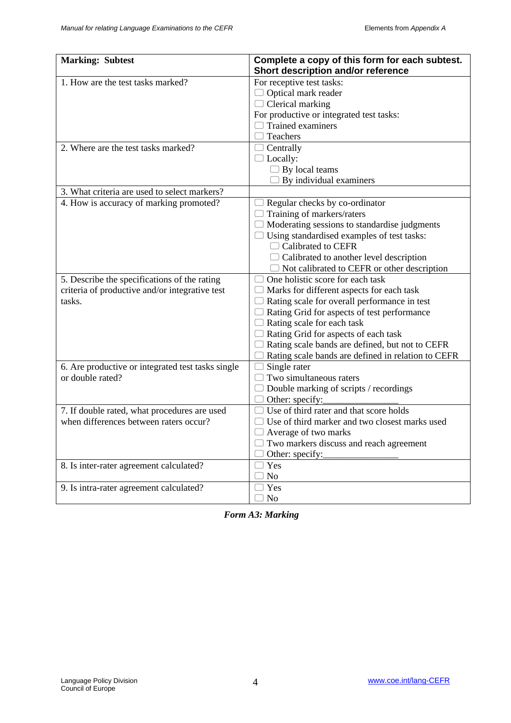| <b>Marking: Subtest</b>                                                                                  | Complete a copy of this form for each subtest.<br>Short description and/or reference                                                                                                                                                                                                                                                                                                    |
|----------------------------------------------------------------------------------------------------------|-----------------------------------------------------------------------------------------------------------------------------------------------------------------------------------------------------------------------------------------------------------------------------------------------------------------------------------------------------------------------------------------|
| 1. How are the test tasks marked?                                                                        | For receptive test tasks:<br>Optical mark reader<br>$\Box$ Clerical marking<br>For productive or integrated test tasks:<br>$\Box$ Trained examiners<br>Teachers                                                                                                                                                                                                                         |
| 2. Where are the test tasks marked?                                                                      | $\Box$ Centrally<br>$\Box$ Locally:<br>$\Box$ By local teams<br>$\Box$ By individual examiners                                                                                                                                                                                                                                                                                          |
| 3. What criteria are used to select markers?                                                             |                                                                                                                                                                                                                                                                                                                                                                                         |
| 4. How is accuracy of marking promoted?                                                                  | Regular checks by co-ordinator<br>Training of markers/raters<br>$\Box$ Moderating sessions to standardise judgments<br>$\Box$ Using standardised examples of test tasks:<br>$\Box$ Calibrated to CEFR<br>$\Box$ Calibrated to another level description<br>$\Box$ Not calibrated to CEFR or other description                                                                           |
| 5. Describe the specifications of the rating<br>criteria of productive and/or integrative test<br>tasks. | One holistic score for each task<br>$\Box$ Marks for different aspects for each task<br>$\Box$ Rating scale for overall performance in test<br>Rating Grid for aspects of test performance<br>$\Box$ Rating scale for each task<br>$\Box$ Rating Grid for aspects of each task<br>Rating scale bands are defined, but not to CEFR<br>Rating scale bands are defined in relation to CEFR |
| 6. Are productive or integrated test tasks single<br>or double rated?                                    | Single rater<br>Two simultaneous raters<br>Double marking of scripts / recordings<br>Other: specify:                                                                                                                                                                                                                                                                                    |
| 7. If double rated, what procedures are used<br>when differences between raters occur?                   | Use of third rater and that score holds<br>Use of third marker and two closest marks used<br>Average of two marks<br>$\Box$ Two markers discuss and reach agreement<br>Other: specify:                                                                                                                                                                                                  |
| 8. Is inter-rater agreement calculated?                                                                  | $\Box$ Yes<br>$\Box$ No                                                                                                                                                                                                                                                                                                                                                                 |
| 9. Is intra-rater agreement calculated?                                                                  | $\Box$ Yes<br>$\Box$ No                                                                                                                                                                                                                                                                                                                                                                 |

*Form A3: Marking*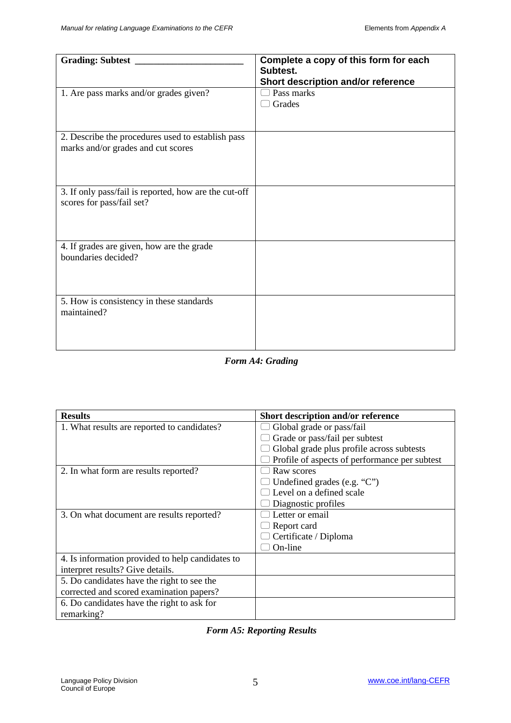| <b>Grading: Subtest</b>                                                                 | Complete a copy of this form for each<br>Subtest. |
|-----------------------------------------------------------------------------------------|---------------------------------------------------|
|                                                                                         | Short description and/or reference                |
| 1. Are pass marks and/or grades given?                                                  | Pass marks<br>Grades                              |
| 2. Describe the procedures used to establish pass<br>marks and/or grades and cut scores |                                                   |
| 3. If only pass/fail is reported, how are the cut-off<br>scores for pass/fail set?      |                                                   |
| 4. If grades are given, how are the grade<br>boundaries decided?                        |                                                   |
| 5. How is consistency in these standards<br>maintained?                                 |                                                   |

*Form A4: Grading*

| <b>Results</b>                                   | Short description and/or reference            |
|--------------------------------------------------|-----------------------------------------------|
| 1. What results are reported to candidates?      | Global grade or pass/fail                     |
|                                                  | Grade or pass/fail per subtest                |
|                                                  | Global grade plus profile across subtests     |
|                                                  | Profile of aspects of performance per subtest |
| 2. In what form are results reported?            | Raw scores                                    |
|                                                  | Undefined grades (e.g. $C$ )                  |
|                                                  | Level on a defined scale                      |
|                                                  | Diagnostic profiles                           |
| 3. On what document are results reported?        | Letter or email                               |
|                                                  | Report card                                   |
|                                                  | Certificate / Diploma                         |
|                                                  | On-line                                       |
| 4. Is information provided to help candidates to |                                               |
| interpret results? Give details.                 |                                               |
| 5. Do candidates have the right to see the       |                                               |
| corrected and scored examination papers?         |                                               |
| 6. Do candidates have the right to ask for       |                                               |
| remarking?                                       |                                               |

## *Form A5: Reporting Results*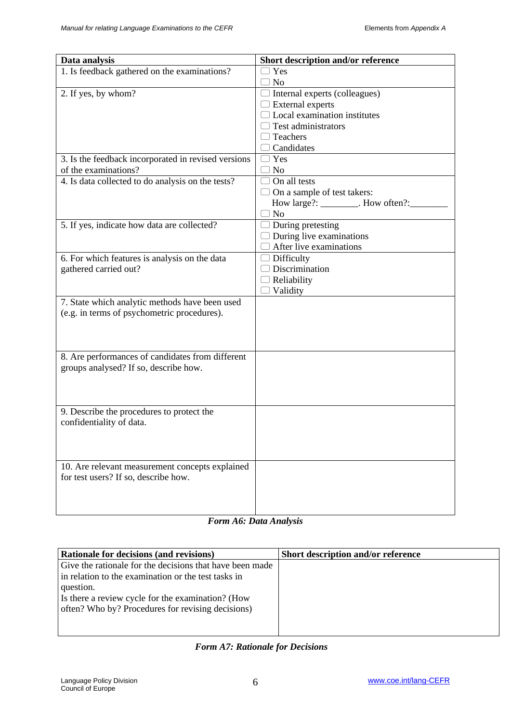| Data analysis                                                                           | Short description and/or reference   |
|-----------------------------------------------------------------------------------------|--------------------------------------|
| 1. Is feedback gathered on the examinations?                                            | $\exists$ Yes                        |
|                                                                                         | $\supset$ No                         |
| 2. If yes, by whom?                                                                     | $\Box$ Internal experts (colleagues) |
|                                                                                         | $\Box$ External experts              |
|                                                                                         | $\Box$ Local examination institutes  |
|                                                                                         | $\Box$ Test administrators           |
|                                                                                         | $\Box$ Teachers                      |
|                                                                                         | $\Box$ Candidates                    |
| 3. Is the feedback incorporated in revised versions                                     | $\Box$ Yes                           |
| of the examinations?                                                                    | $\Box$ No                            |
| 4. Is data collected to do analysis on the tests?                                       | $\Box$ On all tests                  |
|                                                                                         | $\Box$ On a sample of test takers:   |
|                                                                                         | How large?: ________. How often?:_   |
|                                                                                         | $\Box$ No                            |
| 5. If yes, indicate how data are collected?                                             | $\Box$ During pretesting             |
|                                                                                         | $\Box$ During live examinations      |
|                                                                                         | $\Box$ After live examinations       |
| 6. For which features is analysis on the data                                           | $\Box$ Difficulty                    |
| gathered carried out?                                                                   | $\Box$ Discrimination                |
|                                                                                         | $\Box$ Reliability                   |
|                                                                                         | $\Box$ Validity                      |
| 7. State which analytic methods have been used                                          |                                      |
| (e.g. in terms of psychometric procedures).                                             |                                      |
|                                                                                         |                                      |
|                                                                                         |                                      |
|                                                                                         |                                      |
| 8. Are performances of candidates from different                                        |                                      |
| groups analysed? If so, describe how.                                                   |                                      |
|                                                                                         |                                      |
|                                                                                         |                                      |
|                                                                                         |                                      |
| 9. Describe the procedures to protect the                                               |                                      |
| confidentiality of data.                                                                |                                      |
|                                                                                         |                                      |
|                                                                                         |                                      |
|                                                                                         |                                      |
| 10. Are relevant measurement concepts explained<br>for test users? If so, describe how. |                                      |
|                                                                                         |                                      |
|                                                                                         |                                      |
|                                                                                         |                                      |
|                                                                                         |                                      |

#### *Form A6: Data Analysis*

| <b>Rationale for decisions (and revisions)</b>           | <b>Short description and/or reference</b> |
|----------------------------------------------------------|-------------------------------------------|
| Give the rationale for the decisions that have been made |                                           |
| in relation to the examination or the test tasks in      |                                           |
| question.                                                |                                           |
| Is there a review cycle for the examination? (How        |                                           |
| often? Who by? Procedures for revising decisions)        |                                           |
|                                                          |                                           |
|                                                          |                                           |

## *Form A7: Rationale for Decisions*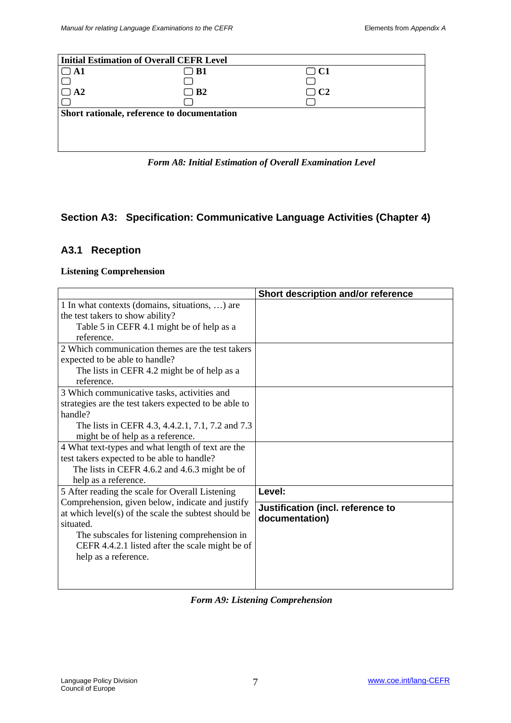| <b>Initial Estimation of Overall CEFR Level</b> |           |           |
|-------------------------------------------------|-----------|-----------|
| $\mathbf{A}$ 1                                  | ) B1      | $\Box$ C1 |
|                                                 |           |           |
| A <sub>2</sub>                                  | $\Box$ B2 | $\Box$ C2 |
|                                                 |           |           |
| Short rationale, reference to documentation     |           |           |
|                                                 |           |           |
|                                                 |           |           |
|                                                 |           |           |
|                                                 |           |           |

*Form A8: Initial Estimation of Overall Examination Level*

## **Section A3: Specification: Communicative Language Activities (Chapter 4)**

## **A3.1 Reception**

#### **Listening Comprehension**

|                                                       | Short description and/or reference |
|-------------------------------------------------------|------------------------------------|
| 1 In what contexts (domains, situations, ) are        |                                    |
| the test takers to show ability?                      |                                    |
| Table 5 in CEFR 4.1 might be of help as a             |                                    |
| reference.                                            |                                    |
| 2 Which communication themes are the test takers      |                                    |
| expected to be able to handle?                        |                                    |
| The lists in CEFR 4.2 might be of help as a           |                                    |
| reference.                                            |                                    |
| 3 Which communicative tasks, activities and           |                                    |
| strategies are the test takers expected to be able to |                                    |
| handle?                                               |                                    |
| The lists in CEFR 4.3, 4.4.2.1, 7.1, 7.2 and 7.3      |                                    |
| might be of help as a reference.                      |                                    |
| 4 What text-types and what length of text are the     |                                    |
| test takers expected to be able to handle?            |                                    |
| The lists in CEFR 4.6.2 and 4.6.3 might be of         |                                    |
| help as a reference.                                  |                                    |
| 5 After reading the scale for Overall Listening       | Level:                             |
| Comprehension, given below, indicate and justify      | Justification (incl. reference to  |
| at which level(s) of the scale the subtest should be  | documentation)                     |
| situated.                                             |                                    |
| The subscales for listening comprehension in          |                                    |
| CEFR 4.4.2.1 listed after the scale might be of       |                                    |
| help as a reference.                                  |                                    |
|                                                       |                                    |
|                                                       |                                    |

### *Form A9: Listening Comprehension*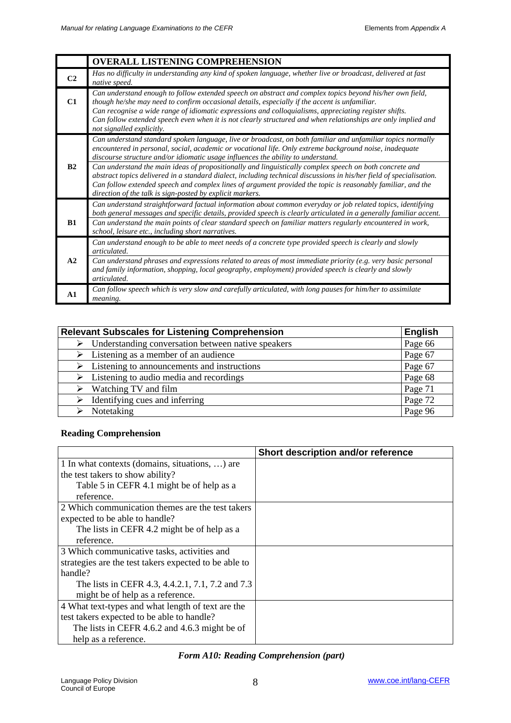|                | <b>OVERALL LISTENING COMPREHENSION</b>                                                                                                                                                                                                                                                                                                                                                                                                                           |
|----------------|------------------------------------------------------------------------------------------------------------------------------------------------------------------------------------------------------------------------------------------------------------------------------------------------------------------------------------------------------------------------------------------------------------------------------------------------------------------|
| C <sub>2</sub> | Has no difficulty in understanding any kind of spoken language, whether live or broadcast, delivered at fast<br>native speed.                                                                                                                                                                                                                                                                                                                                    |
| C1             | Can understand enough to follow extended speech on abstract and complex topics beyond his/her own field,<br>though he/she may need to confirm occasional details, especially if the accent is unfamiliar.<br>Can recognise a wide range of idiomatic expressions and colloquialisms, appreciating register shifts.<br>Can follow extended speech even when it is not clearly structured and when relationships are only implied and<br>not signalled explicitly. |
|                | Can understand standard spoken language, live or broadcast, on both familiar and unfamiliar topics normally<br>encountered in personal, social, academic or vocational life. Only extreme background noise, inadequate<br>discourse structure and/or idiomatic usage influences the ability to understand.                                                                                                                                                       |
| B <sub>2</sub> | Can understand the main ideas of propositionally and linguistically complex speech on both concrete and<br>abstract topics delivered in a standard dialect, including technical discussions in his/her field of specialisation.<br>Can follow extended speech and complex lines of argument provided the topic is reasonably familiar, and the<br>direction of the talk is sign-posted by explicit markers.                                                      |
|                | Can understand straightforward factual information about common everyday or job related topics, identifying<br>both general messages and specific details, provided speech is clearly articulated in a generally familiar accent.                                                                                                                                                                                                                                |
| B1             | Can understand the main points of clear standard speech on familiar matters regularly encountered in work,<br>school, leisure etc., including short narratives.                                                                                                                                                                                                                                                                                                  |
|                | Can understand enough to be able to meet needs of a concrete type provided speech is clearly and slowly<br>articulated.                                                                                                                                                                                                                                                                                                                                          |
| A2             | Can understand phrases and expressions related to areas of most immediate priority (e.g. very basic personal<br>and family information, shopping, local geography, employment) provided speech is clearly and slowly<br>articulated.                                                                                                                                                                                                                             |
| $\mathbf{A1}$  | Can follow speech which is very slow and carefully articulated, with long pauses for him/her to assimilate<br><i>meaning.</i>                                                                                                                                                                                                                                                                                                                                    |

| <b>Relevant Subscales for Listening Comprehension</b>        | <b>English</b> |
|--------------------------------------------------------------|----------------|
| Understanding conversation between native speakers           | Page 66        |
| $\triangleright$ Listening as a member of an audience        | Page 67        |
| $\triangleright$ Listening to announcements and instructions | Page 67        |
| $\triangleright$ Listening to audio media and recordings     | Page 68        |
| $\triangleright$ Watching TV and film                        | Page 71        |
| Identifying cues and inferring<br>➤                          | Page 72        |
| Notetaking                                                   | Page 96        |

## **Reading Comprehension**

|                                                       | Short description and/or reference |
|-------------------------------------------------------|------------------------------------|
| 1 In what contexts (domains, situations, ) are        |                                    |
| the test takers to show ability?                      |                                    |
| Table 5 in CEFR 4.1 might be of help as a             |                                    |
| reference.                                            |                                    |
| 2 Which communication themes are the test takers      |                                    |
| expected to be able to handle?                        |                                    |
| The lists in CEFR 4.2 might be of help as a           |                                    |
| reference.                                            |                                    |
| 3 Which communicative tasks, activities and           |                                    |
| strategies are the test takers expected to be able to |                                    |
| handle?                                               |                                    |
| The lists in CEFR 4.3, 4.4.2.1, 7.1, 7.2 and 7.3      |                                    |
| might be of help as a reference.                      |                                    |
| 4 What text-types and what length of text are the     |                                    |
| test takers expected to be able to handle?            |                                    |
| The lists in CEFR 4.6.2 and 4.6.3 might be of         |                                    |
| help as a reference.                                  |                                    |

## *Form A10: Reading Comprehension (part)*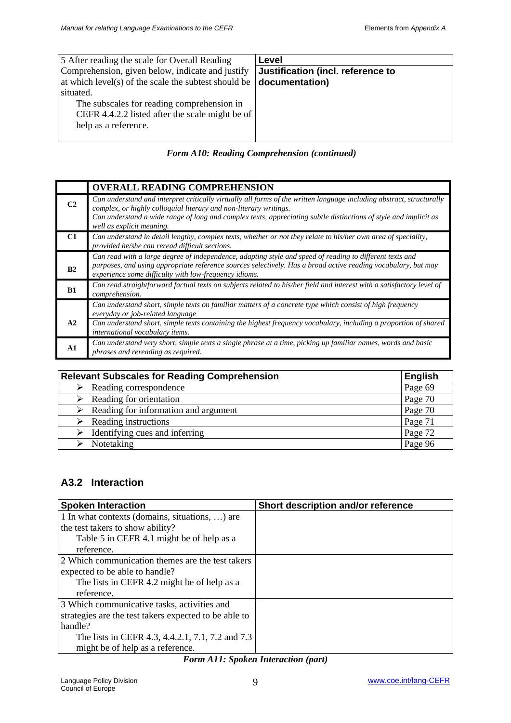| 5 After reading the scale for Overall Reading        | Level                             |
|------------------------------------------------------|-----------------------------------|
| Comprehension, given below, indicate and justify     | Justification (incl. reference to |
| at which level(s) of the scale the subtest should be | documentation)                    |
| situated.                                            |                                   |
| The subscales for reading comprehension in           |                                   |
| CEFR 4.4.2.2 listed after the scale might be of      |                                   |
| help as a reference.                                 |                                   |
|                                                      |                                   |

### *Form A10: Reading Comprehension (continued)*

|                | <b>OVERALL READING COMPREHENSION</b>                                                                                                                                                                                                                                                                                                       |
|----------------|--------------------------------------------------------------------------------------------------------------------------------------------------------------------------------------------------------------------------------------------------------------------------------------------------------------------------------------------|
| C <sub>2</sub> | Can understand and interpret critically virtually all forms of the written language including abstract, structurally<br>complex, or highly colloquial literary and non-literary writings.<br>Can understand a wide range of long and complex texts, appreciating subtle distinctions of style and implicit as<br>well as explicit meaning. |
| C1             | Can understand in detail lengthy, complex texts, whether or not they relate to his/her own area of speciality,<br>provided he/she can reread difficult sections.                                                                                                                                                                           |
| B <sub>2</sub> | Can read with a large degree of independence, adapting style and speed of reading to different texts and<br>purposes, and using appropriate reference sources selectively. Has a broad active reading vocabulary, but may<br>experience some difficulty with low-frequency idioms.                                                         |
| B1             | Can read straightforward factual texts on subjects related to his/her field and interest with a satisfactory level of<br>comprehension.                                                                                                                                                                                                    |
| A2             | Can understand short, simple texts on familiar matters of a concrete type which consist of high frequency<br>everyday or job-related language<br>Can understand short, simple texts containing the highest frequency vocabulary, including a proportion of shared                                                                          |
|                | international vocabulary items.<br>Can understand very short, simple texts a single phrase at a time, picking up familiar names, words and basic                                                                                                                                                                                           |
| $\mathbf{A1}$  | phrases and rereading as required.                                                                                                                                                                                                                                                                                                         |

| <b>Relevant Subscales for Reading Comprehension</b> |                                                       | <b>English</b> |
|-----------------------------------------------------|-------------------------------------------------------|----------------|
|                                                     | $\triangleright$ Reading correspondence               | Page 69        |
|                                                     | $\triangleright$ Reading for orientation              | Page 70        |
|                                                     | $\triangleright$ Reading for information and argument | Page 70        |
|                                                     | $\triangleright$ Reading instructions                 | Page 71        |
|                                                     | Identifying cues and inferring                        | Page 72        |
|                                                     | Notetaking                                            | Page 96        |

# **A3.2 Interaction**

| <b>Spoken Interaction</b>                             | Short description and/or reference |
|-------------------------------------------------------|------------------------------------|
| 1 In what contexts (domains, situations, ) are        |                                    |
| the test takers to show ability?                      |                                    |
| Table 5 in CEFR 4.1 might be of help as a             |                                    |
| reference.                                            |                                    |
| 2 Which communication themes are the test takers      |                                    |
| expected to be able to handle?                        |                                    |
| The lists in CEFR 4.2 might be of help as a           |                                    |
| reference.                                            |                                    |
| 3 Which communicative tasks, activities and           |                                    |
| strategies are the test takers expected to be able to |                                    |
| handle?                                               |                                    |
| The lists in CEFR 4.3, 4.4.2.1, 7.1, 7.2 and 7.3      |                                    |
| might be of help as a reference.                      |                                    |

### *Form A11: Spoken Interaction (part)*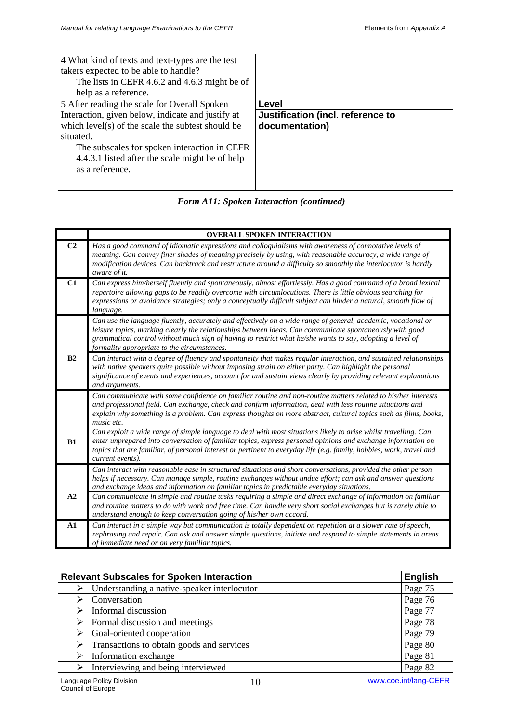| 4 What kind of texts and text-types are the test  |                                   |
|---------------------------------------------------|-----------------------------------|
| takers expected to be able to handle?             |                                   |
| The lists in CEFR 4.6.2 and 4.6.3 might be of     |                                   |
| help as a reference.                              |                                   |
| 5 After reading the scale for Overall Spoken      | Level                             |
| Interaction, given below, indicate and justify at | Justification (incl. reference to |
| which level(s) of the scale the subtest should be | documentation)                    |
| situated.                                         |                                   |
| The subscales for spoken interaction in CEFR      |                                   |
| 4.4.3.1 listed after the scale might be of help   |                                   |
| as a reference.                                   |                                   |
|                                                   |                                   |
|                                                   |                                   |

| <b>Form A11: Spoken Interaction (continued)</b> |  |  |
|-------------------------------------------------|--|--|
|-------------------------------------------------|--|--|

|                | <b>OVERALL SPOKEN INTERACTION</b>                                                                                                                                                                                                                                                                                                                                                     |
|----------------|---------------------------------------------------------------------------------------------------------------------------------------------------------------------------------------------------------------------------------------------------------------------------------------------------------------------------------------------------------------------------------------|
| C <sub>2</sub> | Has a good command of idiomatic expressions and colloquialisms with awareness of connotative levels of<br>meaning. Can convey finer shades of meaning precisely by using, with reasonable accuracy, a wide range of<br>modification devices. Can backtrack and restructure around a difficulty so smoothly the interlocutor is hardly<br>aware of it.                                 |
| C1             | Can express him/herself fluently and spontaneously, almost effortlessly. Has a good command of a broad lexical<br>repertoire allowing gaps to be readily overcome with circumlocutions. There is little obvious searching for<br>expressions or avoidance strategies; only a conceptually difficult subject can hinder a natural, smooth flow of<br>language.                         |
|                | Can use the language fluently, accurately and effectively on a wide range of general, academic, vocational or<br>leisure topics, marking clearly the relationships between ideas. Can communicate spontaneously with good<br>grammatical control without much sign of having to restrict what he/she wants to say, adopting a level of<br>formality appropriate to the circumstances. |
| B2             | Can interact with a degree of fluency and spontaneity that makes regular interaction, and sustained relationships<br>with native speakers quite possible without imposing strain on either party. Can highlight the personal<br>significance of events and experiences, account for and sustain views clearly by providing relevant explanations<br>and arguments.                    |
|                | Can communicate with some confidence on familiar routine and non-routine matters related to his/her interests<br>and professional field. Can exchange, check and confirm information, deal with less routine situations and<br>explain why something is a problem. Can express thoughts on more abstract, cultural topics such as films, books,<br>music etc.                         |
| B1             | Can exploit a wide range of simple language to deal with most situations likely to arise whilst travelling. Can<br>enter unprepared into conversation of familiar topics, express personal opinions and exchange information on<br>topics that are familiar, of personal interest or pertinent to everyday life (e.g. family, hobbies, work, travel and<br>current events).           |
|                | Can interact with reasonable ease in structured situations and short conversations, provided the other person<br>helps if necessary. Can manage simple, routine exchanges without undue effort; can ask and answer questions<br>and exchange ideas and information on familiar topics in predictable everyday situations.                                                             |
| A2             | Can communicate in simple and routine tasks requiring a simple and direct exchange of information on familiar<br>and routine matters to do with work and free time. Can handle very short social exchanges but is rarely able to<br>understand enough to keep conversation going of his/her own accord.                                                                               |
| ${\bf A1}$     | Can interact in a simple way but communication is totally dependent on repetition at a slower rate of speech,<br>rephrasing and repair. Can ask and answer simple questions, initiate and respond to simple statements in areas<br>of immediate need or on very familiar topics.                                                                                                      |

| <b>Relevant Subscales for Spoken Interaction</b>             | <b>English</b> |
|--------------------------------------------------------------|----------------|
| $\triangleright$ Understanding a native-speaker interlocutor | Page 75        |
| Conversation                                                 | Page 76        |
| Informal discussion                                          | Page 77        |
| $\triangleright$ Formal discussion and meetings              | Page 78        |
| $\triangleright$ Goal-oriented cooperation                   | Page 79        |
| $\triangleright$ Transactions to obtain goods and services   | Page 80        |
| Information exchange                                         | Page 81        |
| Interviewing and being interviewed                           | Page 82        |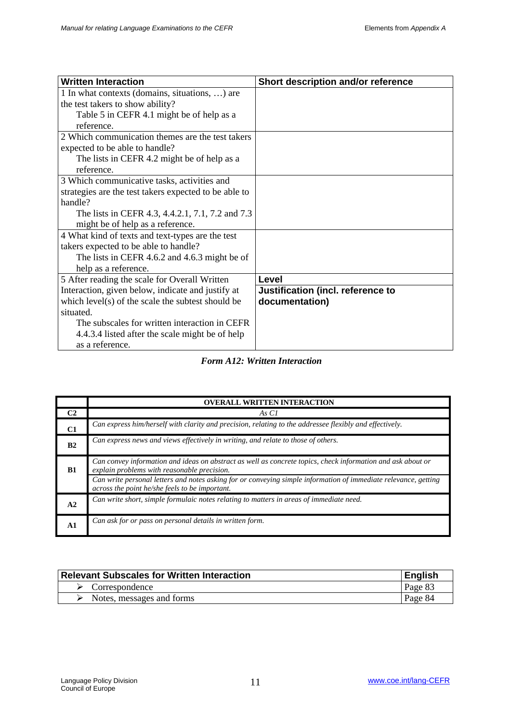| <b>Written Interaction</b>                            | Short description and/or reference |
|-------------------------------------------------------|------------------------------------|
| 1 In what contexts (domains, situations, ) are        |                                    |
| the test takers to show ability?                      |                                    |
| Table 5 in CEFR 4.1 might be of help as a             |                                    |
| reference.                                            |                                    |
| 2 Which communication themes are the test takers      |                                    |
| expected to be able to handle?                        |                                    |
| The lists in CEFR 4.2 might be of help as a           |                                    |
| reference.                                            |                                    |
| 3 Which communicative tasks, activities and           |                                    |
| strategies are the test takers expected to be able to |                                    |
| handle?                                               |                                    |
| The lists in CEFR 4.3, 4.4.2.1, 7.1, 7.2 and 7.3      |                                    |
| might be of help as a reference.                      |                                    |
| 4 What kind of texts and text-types are the test      |                                    |
| takers expected to be able to handle?                 |                                    |
| The lists in CEFR 4.6.2 and 4.6.3 might be of         |                                    |
| help as a reference.                                  |                                    |
| 5 After reading the scale for Overall Written         | Level                              |
| Interaction, given below, indicate and justify at     | Justification (incl. reference to  |
| which level(s) of the scale the subtest should be     | documentation)                     |
| situated.                                             |                                    |
| The subscales for written interaction in CEFR         |                                    |
| 4.4.3.4 listed after the scale might be of help       |                                    |
| as a reference.                                       |                                    |

### *Form A12: Written Interaction*

|                | <b>OVERALL WRITTEN INTERACTION</b>                                                                                                                                                                                                                                                                                              |
|----------------|---------------------------------------------------------------------------------------------------------------------------------------------------------------------------------------------------------------------------------------------------------------------------------------------------------------------------------|
| C <sub>2</sub> | As C1                                                                                                                                                                                                                                                                                                                           |
| C1             | Can express him/herself with clarity and precision, relating to the addressee flexibly and effectively.                                                                                                                                                                                                                         |
| B <sub>2</sub> | Can express news and views effectively in writing, and relate to those of others.                                                                                                                                                                                                                                               |
| <b>B1</b>      | Can convey information and ideas on abstract as well as concrete topics, check information and ask about or<br>explain problems with reasonable precision.<br>Can write personal letters and notes asking for or conveying simple information of immediate relevance, getting<br>across the point he/she feels to be important. |
| A <sub>2</sub> | Can write short, simple formulaic notes relating to matters in areas of immediate need.                                                                                                                                                                                                                                         |
|                | Can ask for or pass on personal details in written form.                                                                                                                                                                                                                                                                        |

| <b>Relevant Subscales for Written Interaction</b> | <b>English</b> |
|---------------------------------------------------|----------------|
| $\triangleright$ Correspondence                   | Page 83        |
| Notes, messages and forms                         | Page 84        |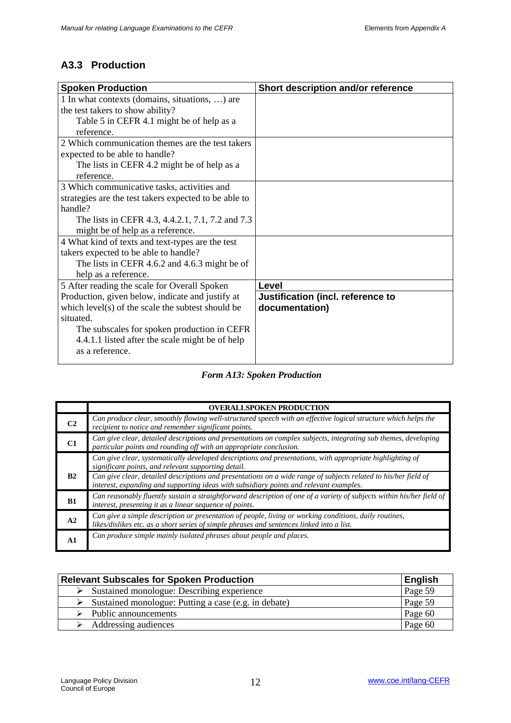# **A3.3 Production**

| <b>Spoken Production</b>                              | Short description and/or reference |
|-------------------------------------------------------|------------------------------------|
| 1 In what contexts (domains, situations, ) are        |                                    |
| the test takers to show ability?                      |                                    |
| Table 5 in CEFR 4.1 might be of help as a             |                                    |
| reference.                                            |                                    |
| 2 Which communication themes are the test takers      |                                    |
| expected to be able to handle?                        |                                    |
| The lists in CEFR 4.2 might be of help as a           |                                    |
| reference.                                            |                                    |
| 3 Which communicative tasks, activities and           |                                    |
| strategies are the test takers expected to be able to |                                    |
| handle?                                               |                                    |
| The lists in CEFR 4.3, 4.4.2.1, 7.1, 7.2 and 7.3      |                                    |
| might be of help as a reference.                      |                                    |
| 4 What kind of texts and text-types are the test      |                                    |
| takers expected to be able to handle?                 |                                    |
| The lists in CEFR 4.6.2 and 4.6.3 might be of         |                                    |
| help as a reference.                                  |                                    |
| 5 After reading the scale for Overall Spoken          | Level                              |
| Production, given below, indicate and justify at      | Justification (incl. reference to  |
| which level(s) of the scale the subtest should be     | documentation)                     |
| situated.                                             |                                    |
| The subscales for spoken production in CEFR           |                                    |
| 4.4.1.1 listed after the scale might be of help       |                                    |
| as a reference.                                       |                                    |
|                                                       |                                    |

*Form A13: Spoken Production*

|                | <b>OVERALLSPOKEN PRODUCTION</b>                                                                                                                                                                                                                                                                                                                                               |
|----------------|-------------------------------------------------------------------------------------------------------------------------------------------------------------------------------------------------------------------------------------------------------------------------------------------------------------------------------------------------------------------------------|
| C <sub>2</sub> | Can produce clear, smoothly flowing well-structured speech with an effective logical structure which helps the<br>recipient to notice and remember significant points.                                                                                                                                                                                                        |
| C1             | Can give clear, detailed descriptions and presentations on complex subjects, integrating sub themes, developing<br>particular points and rounding off with an appropriate conclusion.                                                                                                                                                                                         |
| B2             | Can give clear, systematically developed descriptions and presentations, with appropriate highlighting of<br>significant points, and relevant supporting detail.<br>Can give clear, detailed descriptions and presentations on a wide range of subjects related to his/her field of<br>interest, expanding and supporting ideas with subsidiary points and relevant examples. |
| B1             | Can reasonably fluently sustain a straightforward description of one of a variety of subjects within his/her field of<br>interest, presenting it as a linear sequence of points.                                                                                                                                                                                              |
| A2             | Can give a simple description or presentation of people, living or working conditions, daily routines,<br>likes/dislikes etc. as a short series of simple phrases and sentences linked into a list.                                                                                                                                                                           |
| A1             | Can produce simple mainly isolated phrases about people and places.                                                                                                                                                                                                                                                                                                           |

| <b>Relevant Subscales for Spoken Production</b>                       | <b>English</b> |
|-----------------------------------------------------------------------|----------------|
| $\triangleright$ Sustained monologue: Describing experience           | Page 59        |
| $\triangleright$ Sustained monologue: Putting a case (e.g. in debate) | Page 59        |
| Public announcements                                                  | Page 60        |
| Addressing audiences                                                  | Page 60        |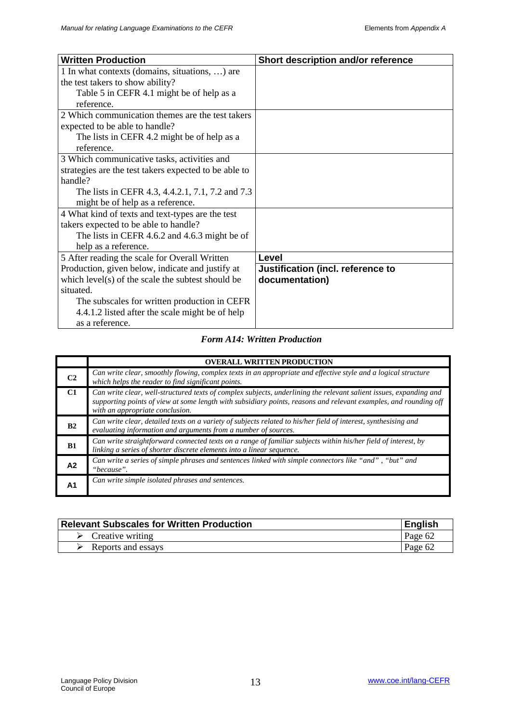| <b>Written Production</b>                             | Short description and/or reference |
|-------------------------------------------------------|------------------------------------|
| 1 In what contexts (domains, situations, ) are        |                                    |
| the test takers to show ability?                      |                                    |
| Table 5 in CEFR 4.1 might be of help as a             |                                    |
| reference.                                            |                                    |
| 2 Which communication themes are the test takers      |                                    |
| expected to be able to handle?                        |                                    |
| The lists in CEFR 4.2 might be of help as a           |                                    |
| reference.                                            |                                    |
| 3 Which communicative tasks, activities and           |                                    |
| strategies are the test takers expected to be able to |                                    |
| handle?                                               |                                    |
| The lists in CEFR 4.3, 4.4.2.1, 7.1, 7.2 and 7.3      |                                    |
| might be of help as a reference.                      |                                    |
| 4 What kind of texts and text-types are the test      |                                    |
| takers expected to be able to handle?                 |                                    |
| The lists in CEFR 4.6.2 and 4.6.3 might be of         |                                    |
| help as a reference.                                  |                                    |
| 5 After reading the scale for Overall Written         | Level                              |
| Production, given below, indicate and justify at      | Justification (incl. reference to  |
| which level(s) of the scale the subtest should be     | documentation)                     |
| situated.                                             |                                    |
| The subscales for written production in CEFR          |                                    |
| 4.4.1.2 listed after the scale might be of help       |                                    |
| as a reference.                                       |                                    |

### *Form A14: Written Production*

|                 | <b>OVERALL WRITTEN PRODUCTION</b>                                                                                                                                                                                                                                         |
|-----------------|---------------------------------------------------------------------------------------------------------------------------------------------------------------------------------------------------------------------------------------------------------------------------|
| C <sub>2</sub>  | Can write clear, smoothly flowing, complex texts in an appropriate and effective style and a logical structure<br>which helps the reader to find significant points.                                                                                                      |
| $\overline{C1}$ | Can write clear, well-structured texts of complex subjects, underlining the relevant salient issues, expanding and<br>supporting points of view at some length with subsidiary points, reasons and relevant examples, and rounding off<br>with an appropriate conclusion. |
| B <sub>2</sub>  | Can write clear, detailed texts on a variety of subjects related to his/her field of interest, synthesising and<br>evaluating information and arguments from a number of sources.                                                                                         |
| B1              | Can write straightforward connected texts on a range of familiar subjects within his/her field of interest, by<br>linking a series of shorter discrete elements into a linear sequence.                                                                                   |
| A2              | Can write a series of simple phrases and sentences linked with simple connectors like "and", "but" and<br>"because".                                                                                                                                                      |
| A1              | Can write simple isolated phrases and sentences.                                                                                                                                                                                                                          |

| Relevant Subscales for Written Production | English |
|-------------------------------------------|---------|
| $\triangleright$ Creative writing         | Page 62 |
| Reports and essays                        | Page 62 |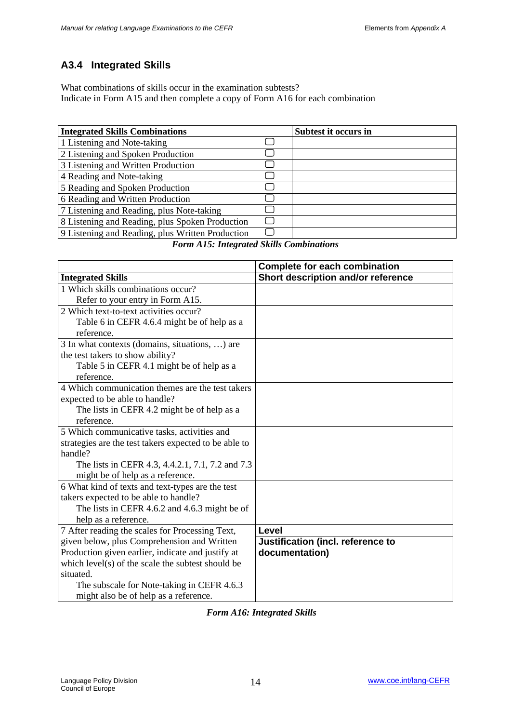# **A3.4 Integrated Skills**

What combinations of skills occur in the examination subtests? Indicate in Form A15 and then complete a copy of Form A16 for each combination

| <b>Integrated Skills Combinations</b>            | Subtest it occurs in |
|--------------------------------------------------|----------------------|
| 1 Listening and Note-taking                      |                      |
| 2 Listening and Spoken Production                |                      |
| 3 Listening and Written Production               |                      |
| 4 Reading and Note-taking                        |                      |
| 5 Reading and Spoken Production                  |                      |
| 6 Reading and Written Production                 |                      |
| 7 Listening and Reading, plus Note-taking        |                      |
| 8 Listening and Reading, plus Spoken Production  |                      |
| 9 Listening and Reading, plus Written Production |                      |

*Form A15: Integrated Skills Combinations*

|                                                       | <b>Complete for each combination</b> |
|-------------------------------------------------------|--------------------------------------|
| <b>Integrated Skills</b>                              | Short description and/or reference   |
| 1 Which skills combinations occur?                    |                                      |
| Refer to your entry in Form A15.                      |                                      |
| 2 Which text-to-text activities occur?                |                                      |
| Table 6 in CEFR 4.6.4 might be of help as a           |                                      |
| reference.                                            |                                      |
| 3 In what contexts (domains, situations, ) are        |                                      |
| the test takers to show ability?                      |                                      |
| Table 5 in CEFR 4.1 might be of help as a             |                                      |
| reference.                                            |                                      |
| 4 Which communication themes are the test takers      |                                      |
| expected to be able to handle?                        |                                      |
| The lists in CEFR 4.2 might be of help as a           |                                      |
| reference.                                            |                                      |
| 5 Which communicative tasks, activities and           |                                      |
| strategies are the test takers expected to be able to |                                      |
| handle?                                               |                                      |
| The lists in CEFR 4.3, 4.4.2.1, 7.1, 7.2 and 7.3      |                                      |
| might be of help as a reference.                      |                                      |
| 6 What kind of texts and text-types are the test      |                                      |
| takers expected to be able to handle?                 |                                      |
| The lists in CEFR 4.6.2 and 4.6.3 might be of         |                                      |
| help as a reference.                                  |                                      |
| 7 After reading the scales for Processing Text,       | Level                                |
| given below, plus Comprehension and Written           | Justification (incl. reference to    |
| Production given earlier, indicate and justify at     | documentation)                       |
| which level(s) of the scale the subtest should be     |                                      |
| situated.                                             |                                      |
| The subscale for Note-taking in CEFR 4.6.3            |                                      |
| might also be of help as a reference.                 |                                      |

*Form A16: Integrated Skills*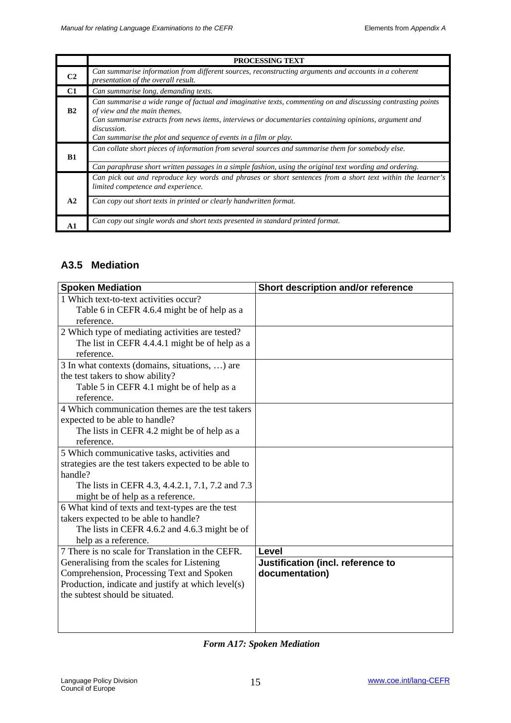|                | <b>PROCESSING TEXT</b>                                                                                                                                                                                                                                                                                                                   |
|----------------|------------------------------------------------------------------------------------------------------------------------------------------------------------------------------------------------------------------------------------------------------------------------------------------------------------------------------------------|
| C <sub>2</sub> | Can summarise information from different sources, reconstructing arguments and accounts in a coherent<br>presentation of the overall result.                                                                                                                                                                                             |
| C1             | Can summarise long, demanding texts.                                                                                                                                                                                                                                                                                                     |
| B2             | Can summarise a wide range of factual and imaginative texts, commenting on and discussing contrasting points<br>of view and the main themes.<br>Can summarise extracts from news items, interviews or documentaries containing opinions, argument and<br>discussion.<br>Can summarise the plot and sequence of events in a film or play. |
| B1             | Can collate short pieces of information from several sources and summarise them for somebody else.                                                                                                                                                                                                                                       |
|                | Can paraphrase short written passages in a simple fashion, using the original text wording and ordering.                                                                                                                                                                                                                                 |
|                | Can pick out and reproduce key words and phrases or short sentences from a short text within the learner's<br>limited competence and experience.                                                                                                                                                                                         |
| A2             | Can copy out short texts in printed or clearly handwritten format.                                                                                                                                                                                                                                                                       |
| $\mathbf{A}$ 1 | Can copy out single words and short texts presented in standard printed format.                                                                                                                                                                                                                                                          |

## **A3.5 Mediation**

| <b>Spoken Mediation</b>                                                  | Short description and/or reference |
|--------------------------------------------------------------------------|------------------------------------|
| 1 Which text-to-text activities occur?                                   |                                    |
| Table 6 in CEFR 4.6.4 might be of help as a                              |                                    |
| reference.                                                               |                                    |
| 2 Which type of mediating activities are tested?                         |                                    |
| The list in CEFR 4.4.4.1 might be of help as a                           |                                    |
| reference.                                                               |                                    |
| 3 In what contexts (domains, situations, ) are                           |                                    |
| the test takers to show ability?                                         |                                    |
| Table 5 in CEFR 4.1 might be of help as a                                |                                    |
| reference.                                                               |                                    |
| 4 Which communication themes are the test takers                         |                                    |
| expected to be able to handle?                                           |                                    |
| The lists in CEFR 4.2 might be of help as a                              |                                    |
| reference.                                                               |                                    |
| 5 Which communicative tasks, activities and                              |                                    |
| strategies are the test takers expected to be able to                    |                                    |
| handle?                                                                  |                                    |
| The lists in CEFR 4.3, 4.4.2.1, 7.1, 7.2 and 7.3                         |                                    |
| might be of help as a reference.                                         |                                    |
| 6 What kind of texts and text-types are the test                         |                                    |
| takers expected to be able to handle?                                    |                                    |
| The lists in CEFR 4.6.2 and 4.6.3 might be of                            |                                    |
| help as a reference.<br>7 There is no scale for Translation in the CEFR. | Level                              |
| Generalising from the scales for Listening                               | Justification (incl. reference to  |
| Comprehension, Processing Text and Spoken                                | documentation)                     |
| Production, indicate and justify at which level(s)                       |                                    |
| the subtest should be situated.                                          |                                    |
|                                                                          |                                    |
|                                                                          |                                    |
|                                                                          |                                    |

## *Form A17: Spoken Mediation*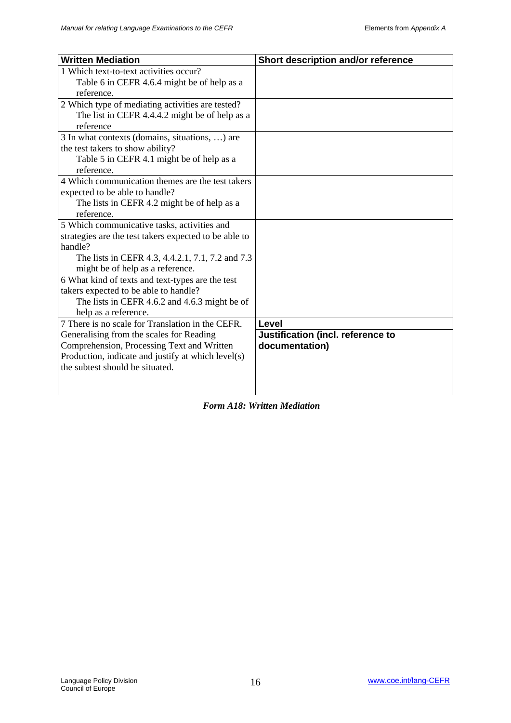| <b>Written Mediation</b>                                                               | Short description and/or reference |
|----------------------------------------------------------------------------------------|------------------------------------|
| 1 Which text-to-text activities occur?                                                 |                                    |
| Table 6 in CEFR 4.6.4 might be of help as a                                            |                                    |
| reference.                                                                             |                                    |
| 2 Which type of mediating activities are tested?                                       |                                    |
| The list in CEFR 4.4.4.2 might be of help as a                                         |                                    |
| reference                                                                              |                                    |
| 3 In what contexts (domains, situations, ) are                                         |                                    |
| the test takers to show ability?                                                       |                                    |
| Table 5 in CEFR 4.1 might be of help as a                                              |                                    |
| reference.                                                                             |                                    |
| 4 Which communication themes are the test takers                                       |                                    |
| expected to be able to handle?                                                         |                                    |
| The lists in CEFR 4.2 might be of help as a                                            |                                    |
| reference.                                                                             |                                    |
| 5 Which communicative tasks, activities and                                            |                                    |
| strategies are the test takers expected to be able to                                  |                                    |
| handle?                                                                                |                                    |
| The lists in CEFR 4.3, 4.4.2.1, 7.1, 7.2 and 7.3                                       |                                    |
| might be of help as a reference.                                                       |                                    |
| 6 What kind of texts and text-types are the test                                       |                                    |
| takers expected to be able to handle?                                                  |                                    |
| The lists in CEFR 4.6.2 and 4.6.3 might be of                                          |                                    |
| help as a reference.<br>7 There is no scale for Translation in the CEFR.               |                                    |
|                                                                                        | Level                              |
| Generalising from the scales for Reading<br>Comprehension, Processing Text and Written | Justification (incl. reference to  |
| Production, indicate and justify at which level(s)                                     | documentation)                     |
| the subtest should be situated.                                                        |                                    |
|                                                                                        |                                    |
|                                                                                        |                                    |

*Form A18: Written Mediation*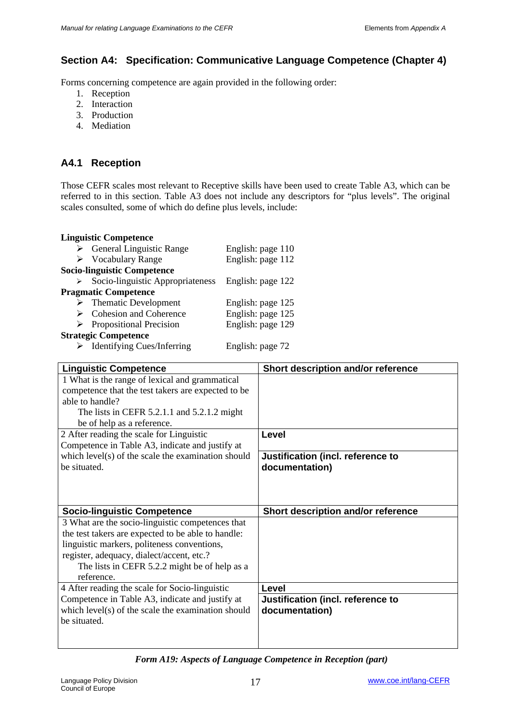## **Section A4: Specification: Communicative Language Competence (Chapter 4)**

Forms concerning competence are again provided in the following order:

- 1. Reception
- 2. Interaction
- 3. Production
- 4. Mediation

## **A4.1 Reception**

Those CEFR scales most relevant to Receptive skills have been used to create Table A3, which can be referred to in this section. Table A3 does not include any descriptors for "plus levels". The original scales consulted, some of which do define plus levels, include:

#### **Linguistic Competence**

|   | $\triangleright$ General Linguistic Range | English: page 110 |
|---|-------------------------------------------|-------------------|
|   | $\triangleright$ Vocabulary Range         | English: page 112 |
|   | <b>Socio-linguistic Competence</b>        |                   |
| ≻ | Socio-linguistic Appropriateness          | English: page 122 |
|   | <b>Pragmatic Competence</b>               |                   |
|   | $\triangleright$ Thematic Development     | English: page 125 |
|   | $\triangleright$ Cohesion and Coherence   | English: page 125 |
|   | $\triangleright$ Propositional Precision  | English: page 129 |
|   | <b>Strategic Competence</b>               |                   |
|   |                                           |                   |

> Identifying Cues/Inferring English: page 72

| <b>Linguistic Competence</b>                       | Short description and/or reference |
|----------------------------------------------------|------------------------------------|
| 1 What is the range of lexical and grammatical     |                                    |
| competence that the test takers are expected to be |                                    |
| able to handle?                                    |                                    |
| The lists in CEFR 5.2.1.1 and 5.2.1.2 might        |                                    |
| be of help as a reference.                         |                                    |
| 2 After reading the scale for Linguistic           | Level                              |
| Competence in Table A3, indicate and justify at    |                                    |
| which level(s) of the scale the examination should | Justification (incl. reference to  |
| be situated.                                       | documentation)                     |
|                                                    |                                    |
|                                                    |                                    |
|                                                    |                                    |
| <b>Socio-linguistic Competence</b>                 | Short description and/or reference |
| 3 What are the socio-linguistic competences that   |                                    |
| the test takers are expected to be able to handle: |                                    |
| linguistic markers, politeness conventions,        |                                    |
| register, adequacy, dialect/accent, etc.?          |                                    |
| The lists in CEFR 5.2.2 might be of help as a      |                                    |
| reference.                                         |                                    |
| 4 After reading the scale for Socio-linguistic     | Level                              |
| Competence in Table A3, indicate and justify at    | Justification (incl. reference to  |
| which level(s) of the scale the examination should | documentation)                     |
| be situated.                                       |                                    |
|                                                    |                                    |

*Form A19: Aspects of Language Competence in Reception (part)*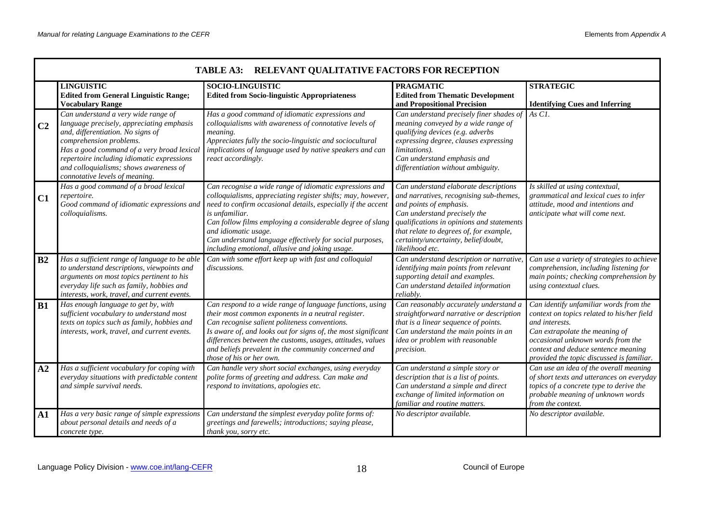|                | TABLE A3: RELEVANT QUALITATIVE FACTORS FOR RECEPTION                                                                                                                                                                                                                                                                     |                                                                                                                                                                                                                                                                                                                                                                                                              |                                                                                                                                                                                                                                                                                                |                                                                                                                                                                                                                                                                   |  |
|----------------|--------------------------------------------------------------------------------------------------------------------------------------------------------------------------------------------------------------------------------------------------------------------------------------------------------------------------|--------------------------------------------------------------------------------------------------------------------------------------------------------------------------------------------------------------------------------------------------------------------------------------------------------------------------------------------------------------------------------------------------------------|------------------------------------------------------------------------------------------------------------------------------------------------------------------------------------------------------------------------------------------------------------------------------------------------|-------------------------------------------------------------------------------------------------------------------------------------------------------------------------------------------------------------------------------------------------------------------|--|
|                | <b>LINGUISTIC</b><br><b>Edited from General Linguistic Range;</b><br><b>Vocabulary Range</b>                                                                                                                                                                                                                             | <b>SOCIO-LINGUISTIC</b><br><b>Edited from Socio-linguistic Appropriateness</b>                                                                                                                                                                                                                                                                                                                               | <b>PRAGMATIC</b><br><b>Edited from Thematic Development</b><br>and Propositional Precision                                                                                                                                                                                                     | <b>STRATEGIC</b><br><b>Identifying Cues and Inferring</b>                                                                                                                                                                                                         |  |
| C <sub>2</sub> | Can understand a very wide range of<br>language precisely, appreciating emphasis<br>and, differentiation. No signs of<br>comprehension problems.<br>Has a good command of a very broad lexical<br>repertoire including idiomatic expressions<br>and colloquialisms; shows awareness of<br>connotative levels of meaning. | Has a good command of idiomatic expressions and<br>colloquialisms with awareness of connotative levels of<br>meaning.<br>Appreciates fully the socio-linguistic and sociocultural<br>implications of language used by native speakers and can<br>react accordingly.                                                                                                                                          | Can understand precisely finer shades of<br>meaning conveyed by a wide range of<br>qualifying devices (e.g. adverbs<br>expressing degree, clauses expressing<br>limitations).<br>Can understand emphasis and<br>differentiation without ambiguity.                                             | As C1.                                                                                                                                                                                                                                                            |  |
| C1             | Has a good command of a broad lexical<br>repertoire.<br>Good command of idiomatic expressions and<br>colloquialisms.                                                                                                                                                                                                     | Can recognise a wide range of idiomatic expressions and<br>colloquialisms, appreciating register shifts; may, however,<br>need to confirm occasional details, especially if the accent<br>is unfamiliar.<br>Can follow films employing a considerable degree of slang<br>and idiomatic usage.<br>Can understand language effectively for social purposes,<br>including emotional, allusive and joking usage. | Can understand elaborate descriptions<br>and narratives, recognising sub-themes,<br>and points of emphasis.<br>Can understand precisely the<br>qualifications in opinions and statements<br>that relate to degrees of, for example,<br>certainty/uncertainty, belief/doubt,<br>likelihood etc. | Is skilled at using contextual,<br>grammatical and lexical cues to infer<br>attitude, mood and intentions and<br>anticipate what will come next.                                                                                                                  |  |
| B2             | Has a sufficient range of language to be able<br>to understand descriptions, viewpoints and<br>arguments on most topics pertinent to his<br>everyday life such as family, hobbies and<br>interests, work, travel, and current events.                                                                                    | Can with some effort keep up with fast and colloquial<br>discussions.                                                                                                                                                                                                                                                                                                                                        | Can understand description or narrative<br>identifying main points from relevant<br>supporting detail and examples.<br>Can understand detailed information<br>reliably.                                                                                                                        | Can use a variety of strategies to achieve<br>comprehension, including listening for<br>main points; checking comprehension by<br>using contextual clues.                                                                                                         |  |
| <b>B1</b>      | Has enough language to get by, with<br>sufficient vocabulary to understand most<br>texts on topics such as family, hobbies and<br>interests, work, travel, and current events.                                                                                                                                           | Can respond to a wide range of language functions, using<br>their most common exponents in a neutral register.<br>Can recognise salient politeness conventions.<br>Is aware of, and looks out for signs of, the most significant<br>differences between the customs, usages, attitudes, values<br>and beliefs prevalent in the community concerned and<br>those of his or her own.                           | Can reasonably accurately understand a<br>straightforward narrative or description<br>that is a linear sequence of points.<br>Can understand the main points in an<br>idea or problem with reasonable<br>precision.                                                                            | Can identify unfamiliar words from the<br>context on topics related to his/her field<br>and interests.<br>Can extrapolate the meaning of<br>occasional unknown words from the<br>context and deduce sentence meaning<br>provided the topic discussed is familiar. |  |
| A2             | Has a sufficient vocabulary for coping with<br>everyday situations with predictable content<br>and simple survival needs.                                                                                                                                                                                                | Can handle very short social exchanges, using everyday<br>polite forms of greeting and address. Can make and<br>respond to invitations, apologies etc.                                                                                                                                                                                                                                                       | Can understand a simple story or<br>description that is a list of points.<br>Can understand a simple and direct<br>exchange of limited information on<br>familiar and routine matters.                                                                                                         | Can use an idea of the overall meaning<br>of short texts and utterances on everyday<br>topics of a concrete type to derive the<br>probable meaning of unknown words<br>from the context.                                                                          |  |
| A1             | Has a very basic range of simple expressions<br>about personal details and needs of a<br>concrete type.                                                                                                                                                                                                                  | Can understand the simplest everyday polite forms of:<br>greetings and farewells; introductions; saying please,<br>thank you, sorry etc.                                                                                                                                                                                                                                                                     | No descriptor available.                                                                                                                                                                                                                                                                       | No descriptor available.                                                                                                                                                                                                                                          |  |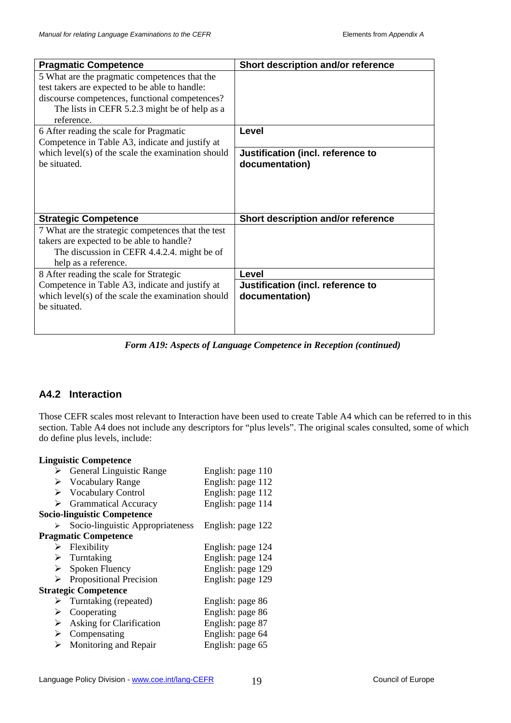| <b>Pragmatic Competence</b>                        | Short description and/or reference |
|----------------------------------------------------|------------------------------------|
| 5 What are the pragmatic competences that the      |                                    |
| test takers are expected to be able to handle:     |                                    |
| discourse competences, functional competences?     |                                    |
| The lists in CEFR 5.2.3 might be of help as a      |                                    |
| reference.                                         |                                    |
| 6 After reading the scale for Pragmatic            | Level                              |
| Competence in Table A3, indicate and justify at    |                                    |
| which level(s) of the scale the examination should | Justification (incl. reference to  |
| be situated.                                       | documentation)                     |
|                                                    |                                    |
|                                                    |                                    |
|                                                    |                                    |
| <b>Strategic Competence</b>                        | Short description and/or reference |
| 7 What are the strategic competences that the test |                                    |
| takers are expected to be able to handle?          |                                    |
| The discussion in CEFR 4.4.2.4. might be of        |                                    |
| help as a reference.                               |                                    |
| 8 After reading the scale for Strategic            | Level                              |
| Competence in Table A3, indicate and justify at    | Justification (incl. reference to  |
| which level(s) of the scale the examination should | documentation)                     |
| be situated.                                       |                                    |
|                                                    |                                    |
|                                                    |                                    |

*Form A19: Aspects of Language Competence in Reception (continued)*

## **A4.2 Interaction**

Those CEFR scales most relevant to Interaction have been used to create Table A4 which can be referred to in this section. Table A4 does not include any descriptors for "plus levels". The original scales consulted, some of which do define plus levels, include:

### **Linguistic Competence**

| <b>General Linguistic Range</b>        | English: page 110 |
|----------------------------------------|-------------------|
| $\triangleright$ Vocabulary Range      | English: page 112 |
| $\triangleright$ Vocabulary Control    | English: page 112 |
| <b>Grammatical Accuracy</b>            | English: page 114 |
| <b>Socio-linguistic Competence</b>     |                   |
| Socio-linguistic Appropriateness       | English: page 122 |
| <b>Pragmatic Competence</b>            |                   |
| $\triangleright$ Flexibility           | English: page 124 |
| $\triangleright$ Turntaking            | English: page 124 |
| $\triangleright$ Spoken Fluency        | English: page 129 |
| Propositional Precision                | English: page 129 |
| <b>Strategic Competence</b>            |                   |
| $\triangleright$ Turntaking (repeated) | English: page 86  |
| Cooperating                            | English: page 86  |
| Asking for Clarification               | English: page 87  |
| Compensating                           | English: page 64  |
| $\triangleright$ Monitoring and Repair | English: page 65  |
|                                        |                   |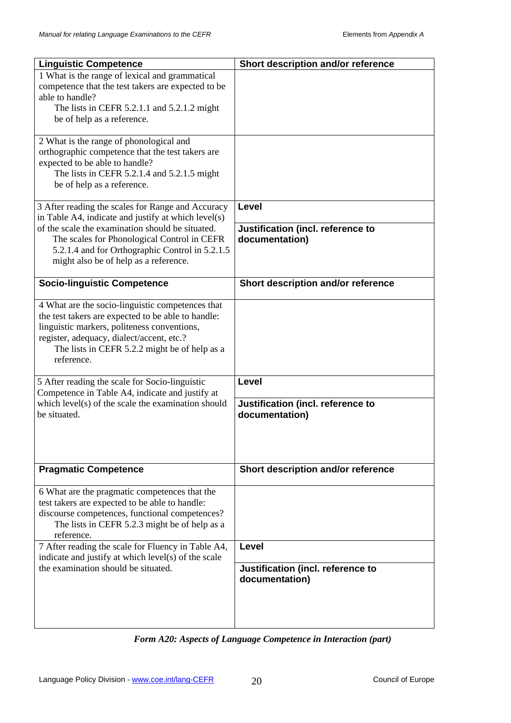| <b>Linguistic Competence</b>                                                                           | Short description and/or reference |
|--------------------------------------------------------------------------------------------------------|------------------------------------|
| 1 What is the range of lexical and grammatical                                                         |                                    |
| competence that the test takers are expected to be                                                     |                                    |
| able to handle?                                                                                        |                                    |
| The lists in CEFR 5.2.1.1 and 5.2.1.2 might                                                            |                                    |
| be of help as a reference.                                                                             |                                    |
| 2 What is the range of phonological and                                                                |                                    |
| orthographic competence that the test takers are                                                       |                                    |
| expected to be able to handle?                                                                         |                                    |
| The lists in CEFR 5.2.1.4 and 5.2.1.5 might                                                            |                                    |
| be of help as a reference.                                                                             |                                    |
| 3 After reading the scales for Range and Accuracy                                                      | Level                              |
| in Table A4, indicate and justify at which level(s)                                                    |                                    |
| of the scale the examination should be situated.                                                       | Justification (incl. reference to  |
| The scales for Phonological Control in CEFR                                                            | documentation)                     |
| 5.2.1.4 and for Orthographic Control in 5.2.1.5                                                        |                                    |
| might also be of help as a reference.                                                                  |                                    |
| <b>Socio-linguistic Competence</b>                                                                     | Short description and/or reference |
|                                                                                                        |                                    |
| 4 What are the socio-linguistic competences that<br>the test takers are expected to be able to handle: |                                    |
| linguistic markers, politeness conventions,                                                            |                                    |
| register, adequacy, dialect/accent, etc.?                                                              |                                    |
| The lists in CEFR 5.2.2 might be of help as a                                                          |                                    |
| reference.                                                                                             |                                    |
| 5 After reading the scale for Socio-linguistic                                                         | <b>Level</b>                       |
| Competence in Table A4, indicate and justify at                                                        |                                    |
| which $level(s)$ of the scale the examination should                                                   | Justification (incl. reference to  |
| be situated.                                                                                           | documentation)                     |
|                                                                                                        |                                    |
|                                                                                                        |                                    |
|                                                                                                        |                                    |
| <b>Pragmatic Competence</b>                                                                            | Short description and/or reference |
| 6 What are the pragmatic competences that the                                                          |                                    |
| test takers are expected to be able to handle:                                                         |                                    |
| discourse competences, functional competences?                                                         |                                    |
| The lists in CEFR 5.2.3 might be of help as a<br>reference.                                            |                                    |
| 7 After reading the scale for Fluency in Table A4,                                                     | Level                              |
| indicate and justify at which level(s) of the scale                                                    |                                    |
| the examination should be situated.                                                                    | Justification (incl. reference to  |
|                                                                                                        | documentation)                     |
|                                                                                                        |                                    |
|                                                                                                        |                                    |
|                                                                                                        |                                    |

*Form A20: Aspects of Language Competence in Interaction (part)*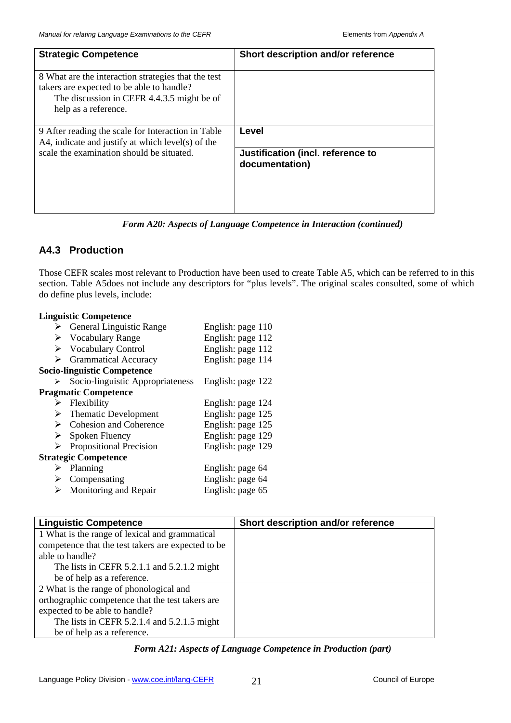| <b>Strategic Competence</b>                                                                                                                                            | Short description and/or reference                  |
|------------------------------------------------------------------------------------------------------------------------------------------------------------------------|-----------------------------------------------------|
| 8 What are the interaction strategies that the test<br>takers are expected to be able to handle?<br>The discussion in CEFR 4.4.3.5 might be of<br>help as a reference. |                                                     |
| 9 After reading the scale for Interaction in Table<br>A4, indicate and justify at which level(s) of the                                                                | Level                                               |
| scale the examination should be situated.                                                                                                                              | Justification (incl. reference to<br>documentation) |

*Form A20: Aspects of Language Competence in Interaction (continued)*

## **A4.3 Production**

Those CEFR scales most relevant to Production have been used to create Table A5, which can be referred to in this section. Table A5does not include any descriptors for "plus levels". The original scales consulted, some of which do define plus levels, include:

|                             | <b>Linguistic Competence</b>              |                   |  |  |
|-----------------------------|-------------------------------------------|-------------------|--|--|
|                             | $\triangleright$ General Linguistic Range | English: page 110 |  |  |
|                             | $\triangleright$ Vocabulary Range         | English: page 112 |  |  |
|                             | $\triangleright$ Vocabulary Control       | English: page 112 |  |  |
|                             | <b>Grammatical Accuracy</b>               | English: page 114 |  |  |
|                             | <b>Socio-linguistic Competence</b>        |                   |  |  |
|                             | Socio-linguistic Appropriateness          | English: page 122 |  |  |
|                             | <b>Pragmatic Competence</b>               |                   |  |  |
|                             | $\triangleright$ Flexibility              | English: page 124 |  |  |
|                             | $\triangleright$ Thematic Development     | English: page 125 |  |  |
|                             | $\triangleright$ Cohesion and Coherence   | English: page 125 |  |  |
|                             | $\triangleright$ Spoken Fluency           | English: page 129 |  |  |
| ⋗                           | Propositional Precision                   | English: page 129 |  |  |
| <b>Strategic Competence</b> |                                           |                   |  |  |
|                             | Planning                                  | English: page 64  |  |  |
| ➤                           | Compensating                              | English: page 64  |  |  |
|                             | Monitoring and Repair                     | English: page 65  |  |  |

| <b>Linguistic Competence</b>                       | Short description and/or reference |
|----------------------------------------------------|------------------------------------|
| 1 What is the range of lexical and grammatical     |                                    |
| competence that the test takers are expected to be |                                    |
| able to handle?                                    |                                    |
| The lists in CEFR $5.2.1.1$ and $5.2.1.2$ might    |                                    |
| be of help as a reference.                         |                                    |
| 2 What is the range of phonological and            |                                    |
| orthographic competence that the test takers are   |                                    |
| expected to be able to handle?                     |                                    |
| The lists in CEFR 5.2.1.4 and 5.2.1.5 might        |                                    |
| be of help as a reference.                         |                                    |

*Form A21: Aspects of Language Competence in Production (part)*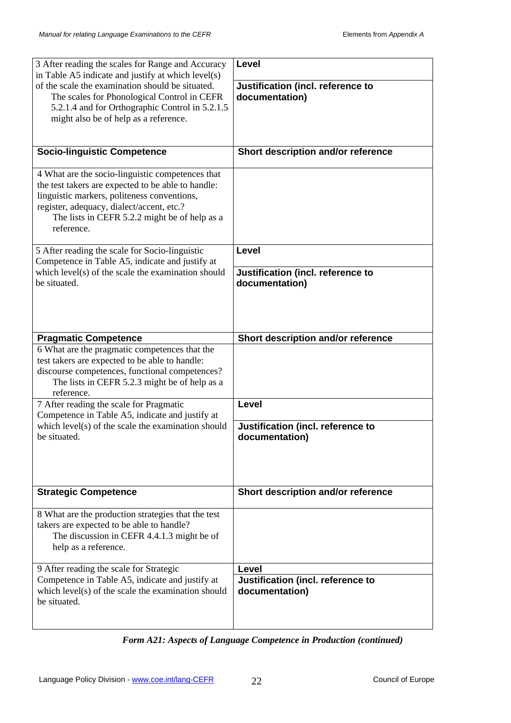| 3 After reading the scales for Range and Accuracy<br>in Table A5 indicate and justify at which level(s)                                                                                                                                                           | Level                                               |
|-------------------------------------------------------------------------------------------------------------------------------------------------------------------------------------------------------------------------------------------------------------------|-----------------------------------------------------|
| of the scale the examination should be situated.<br>The scales for Phonological Control in CEFR<br>5.2.1.4 and for Orthographic Control in 5.2.1.5<br>might also be of help as a reference.                                                                       | Justification (incl. reference to<br>documentation) |
| <b>Socio-linguistic Competence</b>                                                                                                                                                                                                                                | Short description and/or reference                  |
| 4 What are the socio-linguistic competences that<br>the test takers are expected to be able to handle:<br>linguistic markers, politeness conventions,<br>register, adequacy, dialect/accent, etc.?<br>The lists in CEFR 5.2.2 might be of help as a<br>reference. |                                                     |
| 5 After reading the scale for Socio-linguistic<br>Competence in Table A5, indicate and justify at                                                                                                                                                                 | Level                                               |
| which $level(s)$ of the scale the examination should<br>be situated.                                                                                                                                                                                              | Justification (incl. reference to<br>documentation) |
| <b>Pragmatic Competence</b>                                                                                                                                                                                                                                       | Short description and/or reference                  |
| 6 What are the pragmatic competences that the<br>test takers are expected to be able to handle:<br>discourse competences, functional competences?<br>The lists in CEFR 5.2.3 might be of help as a<br>reference.                                                  |                                                     |
| 7 After reading the scale for Pragmatic<br>Competence in Table A5, indicate and justify at                                                                                                                                                                        | Level                                               |
| which $level(s)$ of the scale the examination should<br>be situated.                                                                                                                                                                                              | Justification (incl. reference to<br>documentation) |
| <b>Strategic Competence</b>                                                                                                                                                                                                                                       | Short description and/or reference                  |
| 8 What are the production strategies that the test<br>takers are expected to be able to handle?<br>The discussion in CEFR 4.4.1.3 might be of<br>help as a reference.                                                                                             |                                                     |
| 9 After reading the scale for Strategic                                                                                                                                                                                                                           | Level                                               |
| Competence in Table A5, indicate and justify at<br>which $level(s)$ of the scale the examination should<br>be situated.                                                                                                                                           | Justification (incl. reference to<br>documentation) |

*Form A21: Aspects of Language Competence in Production (continued)*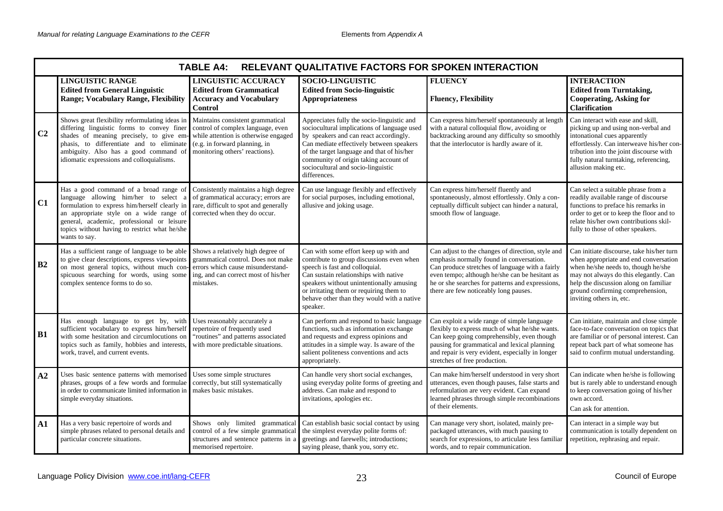|                | <b>TABLE A4:</b><br>RELEVANT QUALITATIVE FACTORS FOR SPOKEN INTERACTION                                                                                                                                                                                                                                                                                                                                                                            |                                                                                                                                         |                                                                                                                                                                                                                                                                                                                              |                                                                                                                                                                                                                                                                                                 |                                                                                                                                                                                                                                                                             |
|----------------|----------------------------------------------------------------------------------------------------------------------------------------------------------------------------------------------------------------------------------------------------------------------------------------------------------------------------------------------------------------------------------------------------------------------------------------------------|-----------------------------------------------------------------------------------------------------------------------------------------|------------------------------------------------------------------------------------------------------------------------------------------------------------------------------------------------------------------------------------------------------------------------------------------------------------------------------|-------------------------------------------------------------------------------------------------------------------------------------------------------------------------------------------------------------------------------------------------------------------------------------------------|-----------------------------------------------------------------------------------------------------------------------------------------------------------------------------------------------------------------------------------------------------------------------------|
|                | <b>LINGUISTIC RANGE</b><br><b>Edited from General Linguistic</b><br><b>Range; Vocabulary Range, Flexibility</b>                                                                                                                                                                                                                                                                                                                                    | <b>LINGUISTIC ACCURACY</b><br><b>Edited from Grammatical</b><br><b>Accuracy and Vocabulary</b><br><b>Control</b>                        | <b>SOCIO-LINGUISTIC</b><br><b>Edited from Socio-linguistic</b><br><b>Appropriateness</b>                                                                                                                                                                                                                                     | <b>FLUENCY</b><br><b>Fluency, Flexibility</b>                                                                                                                                                                                                                                                   | <b>INTERACTION</b><br><b>Edited from Turntaking,</b><br><b>Cooperating, Asking for</b><br><b>Clarification</b>                                                                                                                                                              |
| C <sub>2</sub> | Shows great flexibility reformulating ideas in   Maintains consistent grammatical<br>differing linguistic forms to convey finer control of complex language, even<br>shades of meaning precisely, to give em- while attention is otherwise engaged<br>phasis, to differentiate and to eliminate (e.g. in forward planning, in<br>ambiguity. Also has a good command of monitoring others' reactions).<br>idiomatic expressions and colloquialisms. |                                                                                                                                         | Appreciates fully the socio-linguistic and<br>sociocultural implications of language used<br>by speakers and can react accordingly.<br>Can mediate effectively between speakers<br>of the target language and that of his/her<br>community of origin taking account of<br>sociocultural and socio-linguistic<br>differences. | Can express him/herself spontaneously at length<br>with a natural colloquial flow, avoiding or<br>backtracking around any difficulty so smoothly<br>that the interlocutor is hardly aware of it.                                                                                                | Can interact with ease and skill,<br>picking up and using non-verbal and<br>intonational cues apparently<br>effortlessly. Can interweave his/her con-<br>tribution into the joint discourse with<br>fully natural turntaking, referencing,<br>allusion making etc.          |
| C1             | Has a good command of a broad range of Consistently maintains a high degree<br>language allowing him/her to select a of grammatical accuracy; errors are<br>formulation to express him/herself clearly in rare, difficult to spot and generally<br>an appropriate style on a wide range of corrected when they do occur.<br>general, academic, professional or leisure<br>topics without having to restrict what he/she<br>wants to say.           |                                                                                                                                         | Can use language flexibly and effectively<br>for social purposes, including emotional,<br>allusive and joking usage.                                                                                                                                                                                                         | Can express him/herself fluently and<br>spontaneously, almost effortlessly. Only a con-<br>ceptually difficult subject can hinder a natural,<br>smooth flow of language.                                                                                                                        | Can select a suitable phrase from a<br>readily available range of discourse<br>functions to preface his remarks in<br>order to get or to keep the floor and to<br>relate his/her own contributions skil-<br>fully to those of other speakers.                               |
| <b>B2</b>      | Has a sufficient range of language to be able<br>to give clear descriptions, express viewpoints grammatical control. Does not make<br>on most general topics, without much con-<br>spicuous searching for words, using some ing, and can correct most of his/her<br>complex sentence forms to do so.                                                                                                                                               | Shows a relatively high degree of<br>errors which cause misunderstand-<br>mistakes.                                                     | Can with some effort keep up with and<br>contribute to group discussions even when<br>speech is fast and colloquial.<br>Can sustain relationships with native<br>speakers without unintentionally amusing<br>or irritating them or requiring them to<br>behave other than they would with a native<br>speaker.               | Can adjust to the changes of direction, style and<br>emphasis normally found in conversation.<br>Can produce stretches of language with a fairly<br>even tempo; although he/she can be hesitant as<br>he or she searches for patterns and expressions,<br>there are few noticeably long pauses. | Can initiate discourse, take his/her turn<br>when appropriate and end conversation<br>when he/she needs to, though he/she<br>may not always do this elegantly. Can<br>help the discussion along on familiar<br>ground confirming comprehension,<br>inviting others in, etc. |
| <b>B1</b>      | Has enough language to get by, with Uses reasonably accurately a<br>sufficient vocabulary to express him/herself repertoire of frequently used<br>with some hesitation and circumlocutions on<br>topics such as family, hobbies and interests,<br>work, travel, and current events.                                                                                                                                                                | "routines" and patterns associated<br>with more predictable situations.                                                                 | Can perform and respond to basic language<br>functions, such as information exchange<br>and requests and express opinions and<br>attitudes in a simple way. Is aware of the<br>salient politeness conventions and acts<br>appropriately.                                                                                     | Can exploit a wide range of simple language<br>flexibly to express much of what he/she wants.<br>Can keep going comprehensibly, even though<br>pausing for grammatical and lexical planning<br>and repair is very evident, especially in longer<br>stretches of free production.                | Can initiate, maintain and close simple<br>face-to-face conversation on topics that<br>are familiar or of personal interest. Can<br>repeat back part of what someone has<br>said to confirm mutual understanding.                                                           |
| A2             | Uses basic sentence patterns with memorised Uses some simple structures<br>phrases, groups of a few words and formulae correctly, but still systematically<br>in order to communicate limited information in   makes basic mistakes.<br>simple everyday situations.                                                                                                                                                                                |                                                                                                                                         | Can handle very short social exchanges,<br>using everyday polite forms of greeting and<br>address. Can make and respond to<br>invitations, apologies etc.                                                                                                                                                                    | Can make him/herself understood in very short<br>utterances, even though pauses, false starts and<br>reformulation are very evident. Can expand<br>learned phrases through simple recombinations<br>of their elements.                                                                          | Can indicate when he/she is following<br>but is rarely able to understand enough<br>to keep conversation going of his/her<br>own accord.<br>Can ask for attention.                                                                                                          |
| $\mathbf{A1}$  | Has a very basic repertoire of words and<br>simple phrases related to personal details and<br>particular concrete situations.                                                                                                                                                                                                                                                                                                                      | Shows only limited grammatical<br>control of a few simple grammatical<br>structures and sentence patterns in a<br>memorised repertoire. | Can establish basic social contact by using<br>the simplest everyday polite forms of:<br>greetings and farewells; introductions;<br>saying please, thank you, sorry etc.                                                                                                                                                     | Can manage very short, isolated, mainly pre-<br>packaged utterances, with much pausing to<br>search for expressions, to articulate less familiar<br>words, and to repair communication.                                                                                                         | Can interact in a simple way but<br>communication is totally dependent on<br>repetition, rephrasing and repair.                                                                                                                                                             |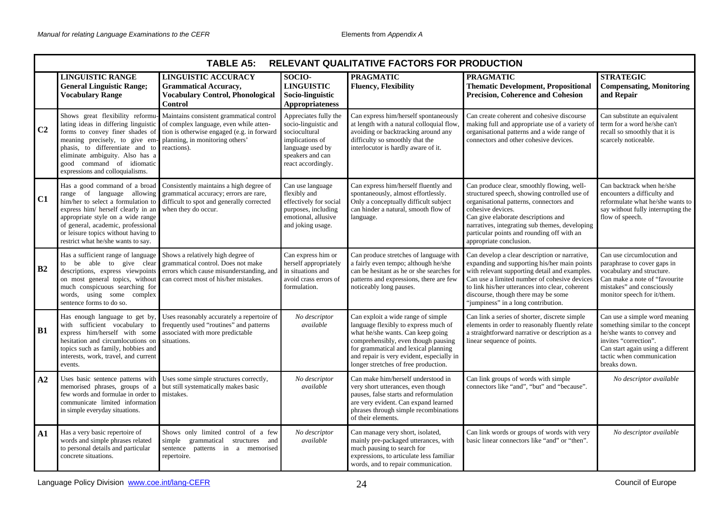|                | <b>TABLE A5:</b><br>RELEVANT QUALITATIVE FACTORS FOR PRODUCTION                                                                                                                                                                                                                                 |                                                                                                                                                                                 |                                                                                                                                                 |                                                                                                                                                                                                                                                                                     |                                                                                                                                                                                                                                                                                                                                 |                                                                                                                                                                                                            |  |  |
|----------------|-------------------------------------------------------------------------------------------------------------------------------------------------------------------------------------------------------------------------------------------------------------------------------------------------|---------------------------------------------------------------------------------------------------------------------------------------------------------------------------------|-------------------------------------------------------------------------------------------------------------------------------------------------|-------------------------------------------------------------------------------------------------------------------------------------------------------------------------------------------------------------------------------------------------------------------------------------|---------------------------------------------------------------------------------------------------------------------------------------------------------------------------------------------------------------------------------------------------------------------------------------------------------------------------------|------------------------------------------------------------------------------------------------------------------------------------------------------------------------------------------------------------|--|--|
|                | <b>LINGUISTIC RANGE</b><br><b>General Linguistic Range;</b><br><b>Vocabulary Range</b>                                                                                                                                                                                                          | <b>LINGUISTIC ACCURACY</b><br><b>Grammatical Accuracy,</b><br><b>Vocabulary Control, Phonological</b><br><b>Control</b>                                                         | SOCIO-<br><b>LINGUISTIC</b><br>Socio-linguistic<br>Appropriateness                                                                              | <b>PRAGMATIC</b><br><b>Fluency, Flexibility</b>                                                                                                                                                                                                                                     | <b>PRAGMATIC</b><br><b>Thematic Development, Propositional</b><br><b>Precision, Coherence and Cohesion</b>                                                                                                                                                                                                                      | <b>STRATEGIC</b><br><b>Compensating, Monitoring</b><br>and Repair                                                                                                                                          |  |  |
| C <sub>2</sub> | Shows great flexibility reformu-<br>lating ideas in differing linguistic<br>meaning precisely, to give em- planning, in monitoring others'<br>phasis, to differentiate and to<br>eliminate ambiguity. Also has a<br>good command of idiomatic<br>expressions and colloquialisms.                | Maintains consistent grammatical control<br>of complex language, even while atten-<br>forms to convey finer shades of tion is otherwise engaged (e.g. in forward<br>reactions). | Appreciates fully the<br>socio-linguistic and<br>sociocultural<br>implications of<br>language used by<br>speakers and can<br>react accordingly. | Can express him/herself spontaneously<br>at length with a natural colloquial flow.<br>avoiding or backtracking around any<br>difficulty so smoothly that the<br>interlocutor is hardly aware of it.                                                                                 | Can create coherent and cohesive discourse<br>making full and appropriate use of a variety of<br>organisational patterns and a wide range of<br>connectors and other cohesive devices.                                                                                                                                          | Can substitute an equivalent<br>term for a word he/she can't<br>recall so smoothly that it is<br>scarcely noticeable.                                                                                      |  |  |
| C1             | Has a good command of a broad<br>range of language allowing<br>him/her to select a formulation to<br>express him/ herself clearly in an<br>appropriate style on a wide range<br>of general, academic, professional<br>or leisure topics without having to<br>restrict what he/she wants to say. | Consistently maintains a high degree of<br>grammatical accuracy; errors are rare,<br>difficult to spot and generally corrected<br>when they do occur.                           | Can use language<br>flexibly and<br>effectively for social<br>purposes, including<br>emotional, allusive<br>and joking usage.                   | Can express him/herself fluently and<br>spontaneously, almost effortlessly.<br>Only a conceptually difficult subject<br>can hinder a natural, smooth flow of<br>language.                                                                                                           | Can produce clear, smoothly flowing, well-<br>structured speech, showing controlled use of<br>organisational patterns, connectors and<br>cohesive devices.<br>Can give elaborate descriptions and<br>narratives, integrating sub themes, developing<br>particular points and rounding off with an<br>appropriate conclusion.    | Can backtrack when he/she<br>encounters a difficulty and<br>reformulate what he/she wants to<br>say without fully interrupting the<br>flow of speech.                                                      |  |  |
| B2             | Has a sufficient range of language<br>to be able to give clear<br>descriptions, express viewpoints<br>on most general topics, without<br>much conspicuous searching for<br>words, using some complex<br>sentence forms to do so.                                                                | Shows a relatively high degree of<br>grammatical control. Does not make<br>errors which cause misunderstanding, and<br>can correct most of his/her mistakes.                    | Can express him or<br>herself appropriately<br>in situations and<br>avoid crass errors of<br>formulation.                                       | Can produce stretches of language with<br>a fairly even tempo; although he/she<br>can be hesitant as he or she searches for<br>patterns and expressions, there are few<br>noticeably long pauses.                                                                                   | Can develop a clear description or narrative,<br>expanding and supporting his/her main points<br>with relevant supporting detail and examples.<br>Can use a limited number of cohesive devices<br>to link his/her utterances into clear, coherent<br>discourse, though there may be some<br>"jumpiness" in a long contribution. | Can use circumlocution and<br>paraphrase to cover gaps in<br>vocabulary and structure.<br>Can make a note of "favourite"<br>mistakes" and consciously<br>monitor speech for it/them.                       |  |  |
| <b>B1</b>      | Has enough language to get by,<br>with sufficient vocabulary to<br>express him/herself with some associated with more predictable<br>hesitation and circumlocutions on<br>topics such as family, hobbies and<br>interests, work, travel, and current<br>events.                                 | Uses reasonably accurately a repertoire of<br>frequently used "routines" and patterns<br>situations.                                                                            | No descriptor<br>available                                                                                                                      | Can exploit a wide range of simple<br>language flexibly to express much of<br>what he/she wants. Can keep going<br>comprehensibly, even though pausing<br>for grammatical and lexical planning<br>and repair is very evident, especially in<br>longer stretches of free production. | Can link a series of shorter, discrete simple<br>elements in order to reasonably fluently relate<br>a straightforward narrative or description as a<br>linear sequence of points.                                                                                                                                               | Can use a simple word meaning<br>something similar to the concept<br>he/she wants to convey and<br>invites "correction".<br>Can start again using a different<br>tactic when communication<br>breaks down. |  |  |
| A2             | Uses basic sentence patterns with<br>memorised phrases, groups of a<br>few words and formulae in order to<br>communicate limited information<br>in simple everyday situations.                                                                                                                  | Uses some simple structures correctly,<br>but still systematically makes basic<br>mistakes.                                                                                     | No descriptor<br>available                                                                                                                      | Can make him/herself understood in<br>very short utterances, even though<br>pauses, false starts and reformulation<br>are very evident. Can expand learned<br>phrases through simple recombinations<br>of their elements.                                                           | Can link groups of words with simple<br>connectors like "and", "but" and "because".                                                                                                                                                                                                                                             | No descriptor available                                                                                                                                                                                    |  |  |
| A1             | Has a very basic repertoire of<br>words and simple phrases related<br>to personal details and particular<br>concrete situations.                                                                                                                                                                | Shows only limited control of a few<br>simple grammatical structures and<br>sentence patterns in a memorised<br>repertoire.                                                     | No descriptor<br>available                                                                                                                      | Can manage very short, isolated,<br>mainly pre-packaged utterances, with<br>much pausing to search for<br>expressions, to articulate less familiar<br>words, and to repair communication.                                                                                           | Can link words or groups of words with very<br>basic linear connectors like "and" or "then".                                                                                                                                                                                                                                    | No descriptor available                                                                                                                                                                                    |  |  |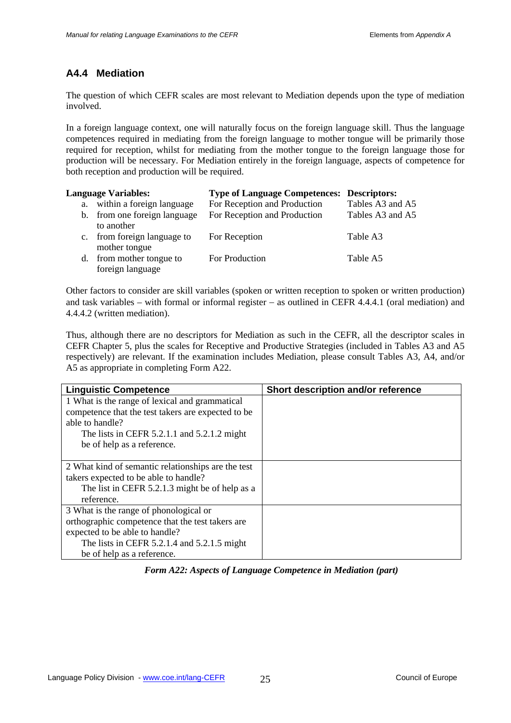## **A4.4 Mediation**

The question of which CEFR scales are most relevant to Mediation depends upon the type of mediation involved.

In a foreign language context, one will naturally focus on the foreign language skill. Thus the language competences required in mediating from the foreign language to mother tongue will be primarily those required for reception, whilst for mediating from the mother tongue to the foreign language those for production will be necessary. For Mediation entirely in the foreign language, aspects of competence for both reception and production will be required.

| <b>Language Variables:</b> |                                            | <b>Type of Language Competences: Descriptors:</b> |                  |  |  |
|----------------------------|--------------------------------------------|---------------------------------------------------|------------------|--|--|
| a.                         | within a foreign language                  | For Reception and Production                      | Tables A3 and A5 |  |  |
|                            | b. from one foreign language<br>to another | For Reception and Production                      | Tables A3 and A5 |  |  |
| $c_{\cdot}$                | from foreign language to<br>mother tongue  | For Reception                                     | Table A3         |  |  |
| d.                         | from mother tongue to<br>foreign language  | For Production                                    | Table A5         |  |  |

Other factors to consider are skill variables (spoken or written reception to spoken or written production) and task variables – with formal or informal register – as outlined in CEFR 4.4.4.1 (oral mediation) and 4.4.4.2 (written mediation).

Thus, although there are no descriptors for Mediation as such in the CEFR, all the descriptor scales in CEFR Chapter 5, plus the scales for Receptive and Productive Strategies (included in Tables A3 and A5 respectively) are relevant. If the examination includes Mediation, please consult Tables A3, A4, and/or A5 as appropriate in completing Form A22.

| <b>Linguistic Competence</b>                       | Short description and/or reference |
|----------------------------------------------------|------------------------------------|
| 1 What is the range of lexical and grammatical     |                                    |
| competence that the test takers are expected to be |                                    |
| able to handle?                                    |                                    |
| The lists in CEFR $5.2.1.1$ and $5.2.1.2$ might    |                                    |
| be of help as a reference.                         |                                    |
|                                                    |                                    |
| 2 What kind of semantic relationships are the test |                                    |
| takers expected to be able to handle?              |                                    |
| The list in CEFR 5.2.1.3 might be of help as a     |                                    |
| reference.                                         |                                    |
| 3 What is the range of phonological or             |                                    |
| orthographic competence that the test takers are   |                                    |
| expected to be able to handle?                     |                                    |
| The lists in CEFR $5.2.1.4$ and $5.2.1.5$ might    |                                    |
| be of help as a reference.                         |                                    |

*Form A22: Aspects of Language Competence in Mediation (part)*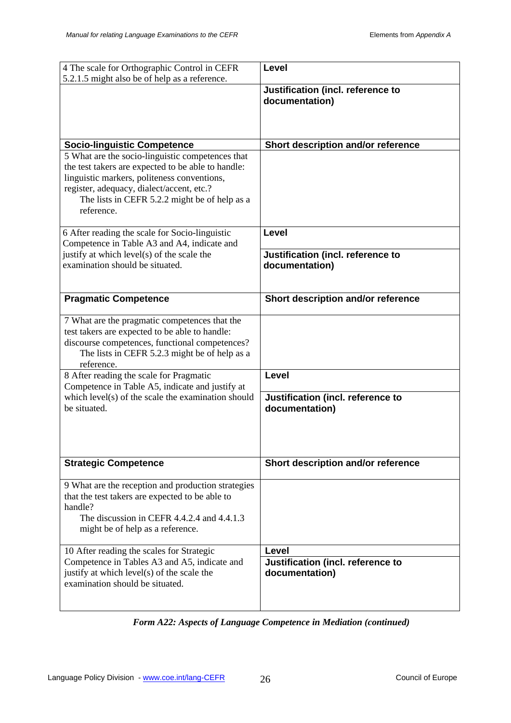| 4 The scale for Orthographic Control in CEFR                                                                                                                                                                                                                      | <b>Level</b>                                        |
|-------------------------------------------------------------------------------------------------------------------------------------------------------------------------------------------------------------------------------------------------------------------|-----------------------------------------------------|
| 5.2.1.5 might also be of help as a reference.                                                                                                                                                                                                                     | Justification (incl. reference to<br>documentation) |
| <b>Socio-linguistic Competence</b>                                                                                                                                                                                                                                | Short description and/or reference                  |
| 5 What are the socio-linguistic competences that<br>the test takers are expected to be able to handle:<br>linguistic markers, politeness conventions,<br>register, adequacy, dialect/accent, etc.?<br>The lists in CEFR 5.2.2 might be of help as a<br>reference. |                                                     |
| 6 After reading the scale for Socio-linguistic                                                                                                                                                                                                                    | <b>Level</b>                                        |
| Competence in Table A3 and A4, indicate and<br>justify at which level(s) of the scale the<br>examination should be situated.                                                                                                                                      | Justification (incl. reference to<br>documentation) |
| <b>Pragmatic Competence</b>                                                                                                                                                                                                                                       | Short description and/or reference                  |
| 7 What are the pragmatic competences that the<br>test takers are expected to be able to handle:<br>discourse competences, functional competences?<br>The lists in CEFR 5.2.3 might be of help as a<br>reference.                                                  |                                                     |
| 8 After reading the scale for Pragmatic                                                                                                                                                                                                                           | <b>Level</b>                                        |
| Competence in Table A5, indicate and justify at<br>which level(s) of the scale the examination should<br>be situated.                                                                                                                                             | Justification (incl. reference to<br>documentation) |
| <b>Strategic Competence</b>                                                                                                                                                                                                                                       | Short description and/or reference                  |
| 9 What are the reception and production strategies<br>that the test takers are expected to be able to<br>handle?<br>The discussion in CEFR 4.4.2.4 and 4.4.1.3<br>might be of help as a reference.                                                                |                                                     |
| 10 After reading the scales for Strategic                                                                                                                                                                                                                         | <b>Level</b>                                        |
| Competence in Tables A3 and A5, indicate and<br>justify at which level(s) of the scale the<br>examination should be situated.                                                                                                                                     | Justification (incl. reference to<br>documentation) |

*Form A22: Aspects of Language Competence in Mediation (continued)*